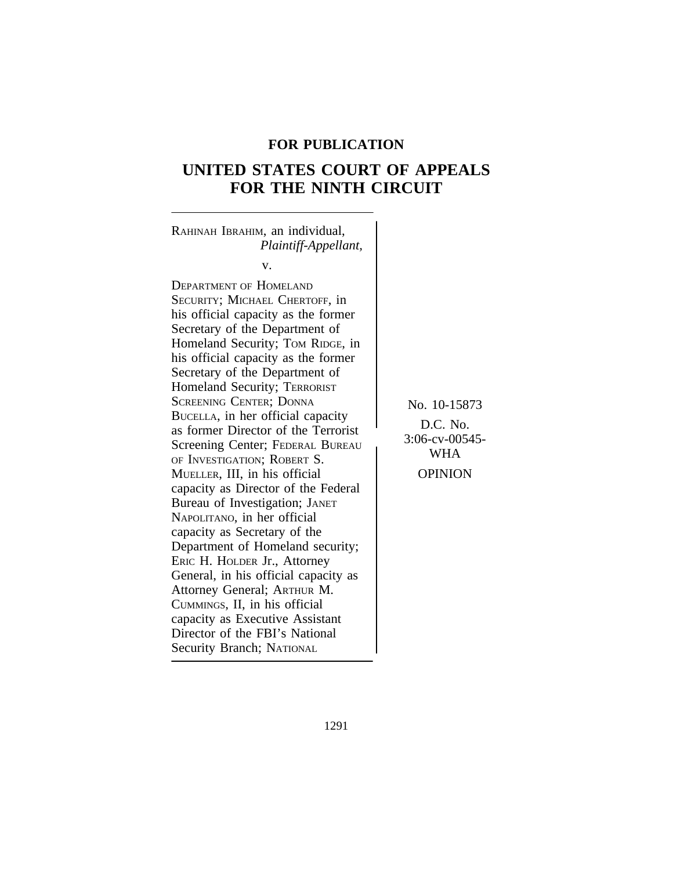## **FOR PUBLICATION**

# **UNITED STATES COURT OF APPEALS FOR THE NINTH CIRCUIT**

<sup>R</sup>AHINAH IBRAHIM, an individual, *Plaintiff-Appellant,* v. DEPARTMENT OF HOMELAND SECURITY; MICHAEL CHERTOFF, in his official capacity as the former Secretary of the Department of Homeland Security; TOM RIDGE, in his official capacity as the former Secretary of the Department of Homeland Security; TERRORIST SCREENING CENTER; DONNA No. 10-15873 BUCELLA, in her official capacity D.C. No.<br>
Screening Center; FEDERAL BUREAU 3:06-cv-00545-<br>
Screening Center; FEDERAL BUREAU 3:06-cv-00545-OF INVESTIGATION; ROBERT S. WHA<br>MUELLER. III. in his official **COPINION** MUELLER, III, in his official capacity as Director of the Federal Bureau of Investigation; JANET NAPOLITANO, in her official capacity as Secretary of the Department of Homeland security; ERIC H. HOLDER Jr., Attorney General, in his official capacity as Attorney General; ARTHUR M. CUMMINGS, II, in his official capacity as Executive Assistant Director of the FBI's National Security Branch; NATIONAL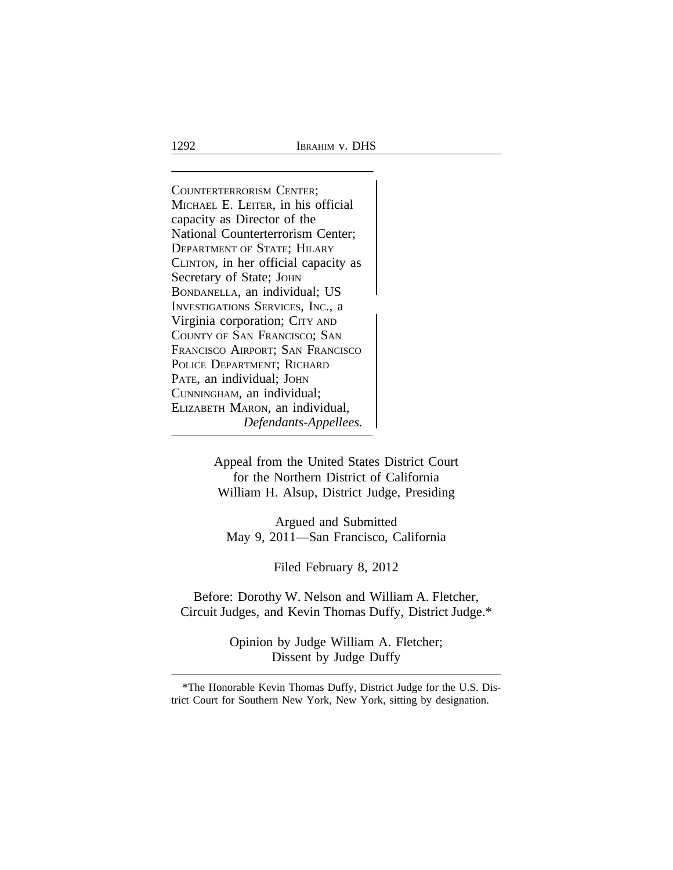<sup>C</sup>OUNTERTERRORISM CENTER; MICHAEL E. LEITER, in his official capacity as Director of the National Counterterrorism Center; DEPARTMENT OF STATE; HILARY CLINTON, in her official capacity as Secretary of State; JOHN BONDANELLA, an individual; US <sup>I</sup>NVESTIGATIONS SERVICES, INC., a Virginia corporation; CITY AND COUNTY OF SAN FRANCISCO; SAN FRANCISCO AIRPORT; SAN FRANCISCO POLICE DEPARTMENT; RICHARD PATE, an individual; JOHN CUNNINGHAM, an individual; ELIZABETH MARON, an individual, *Defendants-Appellees.*

> Appeal from the United States District Court for the Northern District of California William H. Alsup, District Judge, Presiding

Argued and Submitted May 9, 2011—San Francisco, California

Filed February 8, 2012

Before: Dorothy W. Nelson and William A. Fletcher, Circuit Judges, and Kevin Thomas Duffy, District Judge.\*

> Opinion by Judge William A. Fletcher; Dissent by Judge Duffy

\*The Honorable Kevin Thomas Duffy, District Judge for the U.S. District Court for Southern New York, New York, sitting by designation.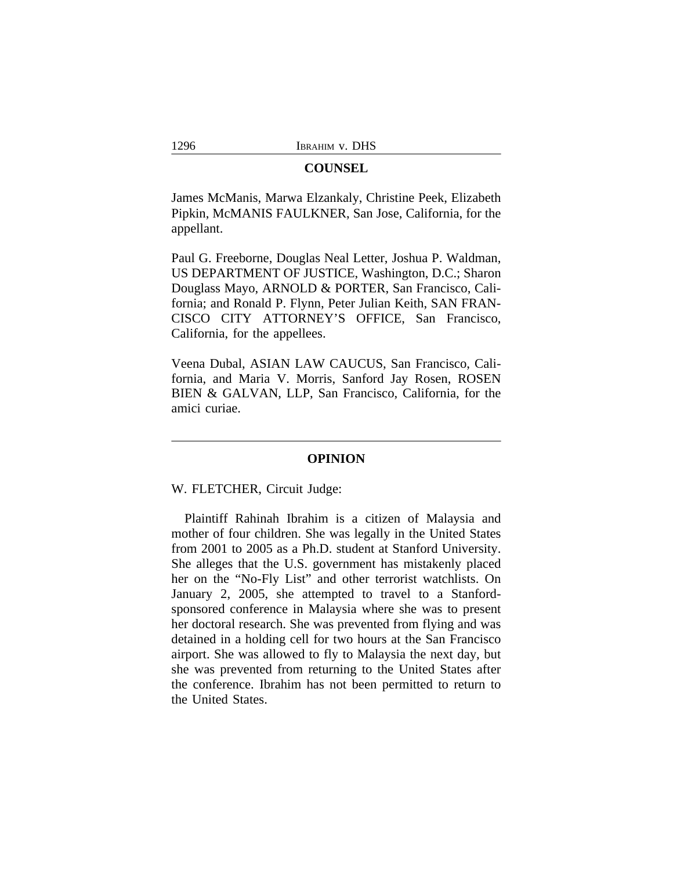## **COUNSEL**

James McManis, Marwa Elzankaly, Christine Peek, Elizabeth Pipkin, McMANIS FAULKNER, San Jose, California, for the appellant.

Paul G. Freeborne, Douglas Neal Letter, Joshua P. Waldman, US DEPARTMENT OF JUSTICE, Washington, D.C.; Sharon Douglass Mayo, ARNOLD & PORTER, San Francisco, California; and Ronald P. Flynn, Peter Julian Keith, SAN FRAN-CISCO CITY ATTORNEY'S OFFICE, San Francisco, California, for the appellees.

Veena Dubal, ASIAN LAW CAUCUS, San Francisco, California, and Maria V. Morris, Sanford Jay Rosen, ROSEN BIEN & GALVAN, LLP, San Francisco, California, for the amici curiae.

#### **OPINION**

W. FLETCHER, Circuit Judge:

Plaintiff Rahinah Ibrahim is a citizen of Malaysia and mother of four children. She was legally in the United States from 2001 to 2005 as a Ph.D. student at Stanford University. She alleges that the U.S. government has mistakenly placed her on the "No-Fly List" and other terrorist watchlists. On January 2, 2005, she attempted to travel to a Stanfordsponsored conference in Malaysia where she was to present her doctoral research. She was prevented from flying and was detained in a holding cell for two hours at the San Francisco airport. She was allowed to fly to Malaysia the next day, but she was prevented from returning to the United States after the conference. Ibrahim has not been permitted to return to the United States.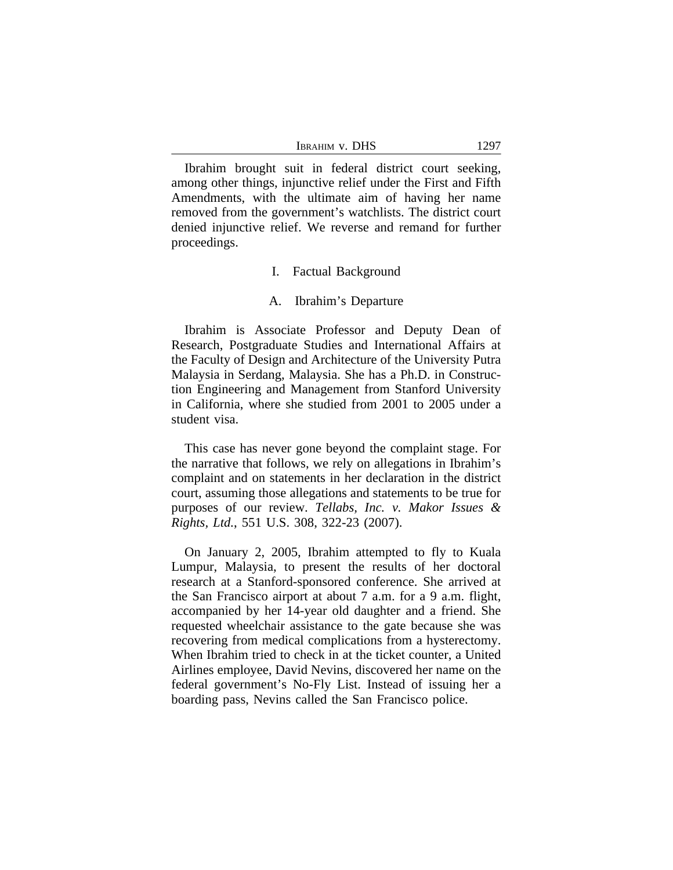| IBRAHIM V. DHS | 1297 |
|----------------|------|
|                |      |

Ibrahim brought suit in federal district court seeking, among other things, injunctive relief under the First and Fifth Amendments, with the ultimate aim of having her name removed from the government's watchlists. The district court denied injunctive relief. We reverse and remand for further proceedings.

## I. Factual Background

## A. Ibrahim's Departure

Ibrahim is Associate Professor and Deputy Dean of Research, Postgraduate Studies and International Affairs at the Faculty of Design and Architecture of the University Putra Malaysia in Serdang, Malaysia. She has a Ph.D. in Construction Engineering and Management from Stanford University in California, where she studied from 2001 to 2005 under a student visa.

This case has never gone beyond the complaint stage. For the narrative that follows, we rely on allegations in Ibrahim's complaint and on statements in her declaration in the district court, assuming those allegations and statements to be true for purposes of our review. *Tellabs, Inc. v. Makor Issues & Rights, Ltd.*, 551 U.S. 308, 322-23 (2007).

On January 2, 2005, Ibrahim attempted to fly to Kuala Lumpur, Malaysia, to present the results of her doctoral research at a Stanford-sponsored conference. She arrived at the San Francisco airport at about 7 a.m. for a 9 a.m. flight, accompanied by her 14-year old daughter and a friend. She requested wheelchair assistance to the gate because she was recovering from medical complications from a hysterectomy. When Ibrahim tried to check in at the ticket counter, a United Airlines employee, David Nevins, discovered her name on the federal government's No-Fly List. Instead of issuing her a boarding pass, Nevins called the San Francisco police.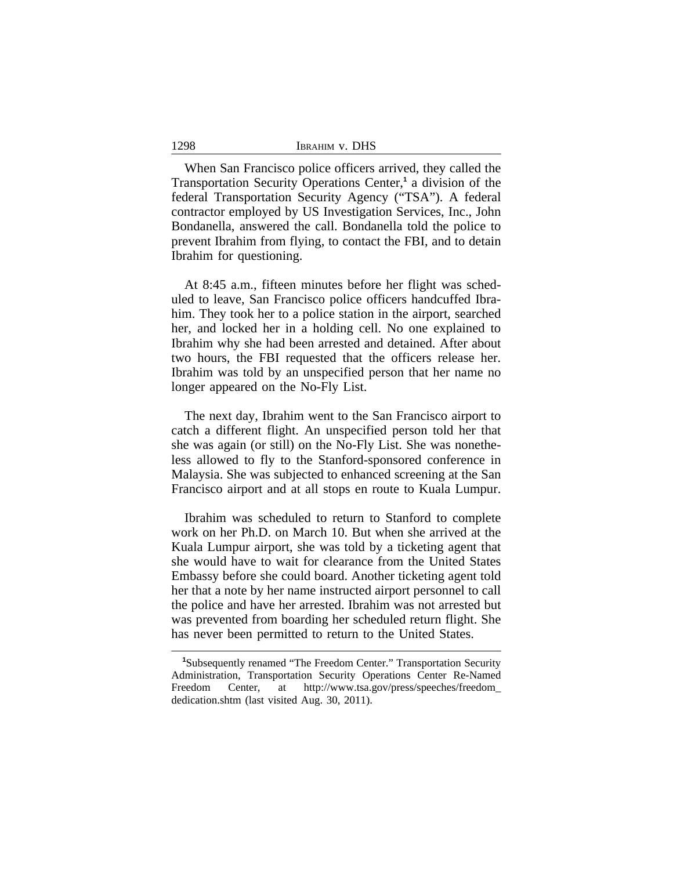| IBRAHIM V. DHS |
|----------------|
|                |

When San Francisco police officers arrived, they called the Transportation Security Operations Center,**<sup>1</sup>** a division of the federal Transportation Security Agency ("TSA"). A federal contractor employed by US Investigation Services, Inc., John Bondanella, answered the call. Bondanella told the police to prevent Ibrahim from flying, to contact the FBI, and to detain Ibrahim for questioning.

At 8:45 a.m., fifteen minutes before her flight was scheduled to leave, San Francisco police officers handcuffed Ibrahim. They took her to a police station in the airport, searched her, and locked her in a holding cell. No one explained to Ibrahim why she had been arrested and detained. After about two hours, the FBI requested that the officers release her. Ibrahim was told by an unspecified person that her name no longer appeared on the No-Fly List.

The next day, Ibrahim went to the San Francisco airport to catch a different flight. An unspecified person told her that she was again (or still) on the No-Fly List. She was nonetheless allowed to fly to the Stanford-sponsored conference in Malaysia. She was subjected to enhanced screening at the San Francisco airport and at all stops en route to Kuala Lumpur.

Ibrahim was scheduled to return to Stanford to complete work on her Ph.D. on March 10. But when she arrived at the Kuala Lumpur airport, she was told by a ticketing agent that she would have to wait for clearance from the United States Embassy before she could board. Another ticketing agent told her that a note by her name instructed airport personnel to call the police and have her arrested. Ibrahim was not arrested but was prevented from boarding her scheduled return flight. She has never been permitted to return to the United States.

**<sup>1</sup>**Subsequently renamed "The Freedom Center." Transportation Security Administration, Transportation Security Operations Center Re-Named Freedom Center, at http://www.tsa.gov/press/speeches/freedom\_ dedication.shtm (last visited Aug. 30, 2011).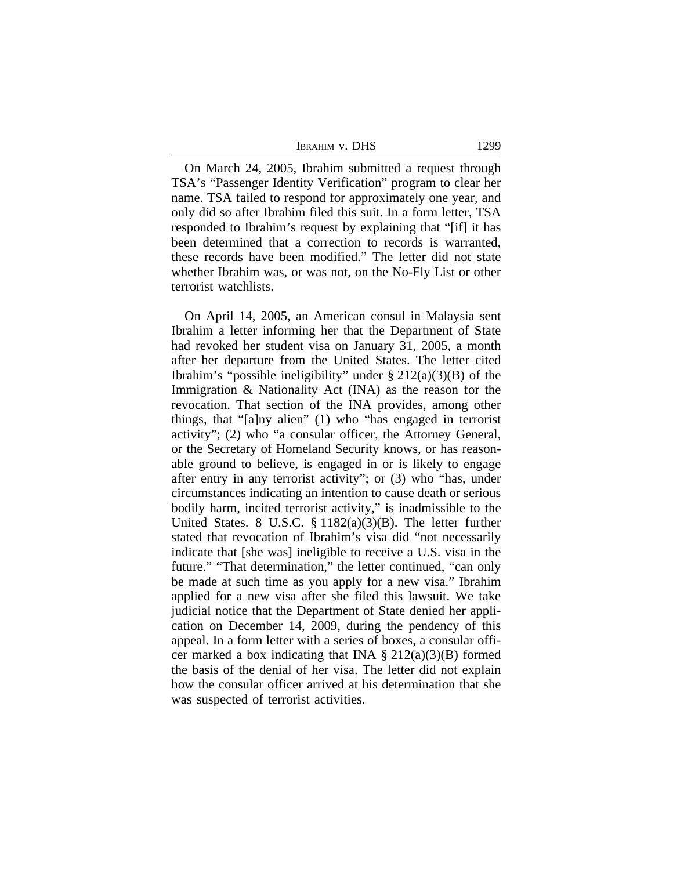| Ibrahim v. DHS | 1299 |
|----------------|------|
|                |      |

On March 24, 2005, Ibrahim submitted a request through TSA's "Passenger Identity Verification" program to clear her name. TSA failed to respond for approximately one year, and only did so after Ibrahim filed this suit. In a form letter, TSA responded to Ibrahim's request by explaining that "[if] it has been determined that a correction to records is warranted, these records have been modified." The letter did not state whether Ibrahim was, or was not, on the No-Fly List or other terrorist watchlists.

On April 14, 2005, an American consul in Malaysia sent Ibrahim a letter informing her that the Department of State had revoked her student visa on January 31, 2005, a month after her departure from the United States. The letter cited Ibrahim's "possible ineligibility" under  $\S 212(a)(3)(B)$  of the Immigration & Nationality Act (INA) as the reason for the revocation. That section of the INA provides, among other things, that "[a]ny alien" (1) who "has engaged in terrorist activity"; (2) who "a consular officer, the Attorney General, or the Secretary of Homeland Security knows, or has reasonable ground to believe, is engaged in or is likely to engage after entry in any terrorist activity"; or (3) who "has, under circumstances indicating an intention to cause death or serious bodily harm, incited terrorist activity," is inadmissible to the United States. 8 U.S.C. § 1182(a)(3)(B). The letter further stated that revocation of Ibrahim's visa did "not necessarily indicate that [she was] ineligible to receive a U.S. visa in the future." "That determination," the letter continued, "can only be made at such time as you apply for a new visa." Ibrahim applied for a new visa after she filed this lawsuit. We take judicial notice that the Department of State denied her application on December 14, 2009, during the pendency of this appeal. In a form letter with a series of boxes, a consular officer marked a box indicating that INA  $\S 212(a)(3)(B)$  formed the basis of the denial of her visa. The letter did not explain how the consular officer arrived at his determination that she was suspected of terrorist activities.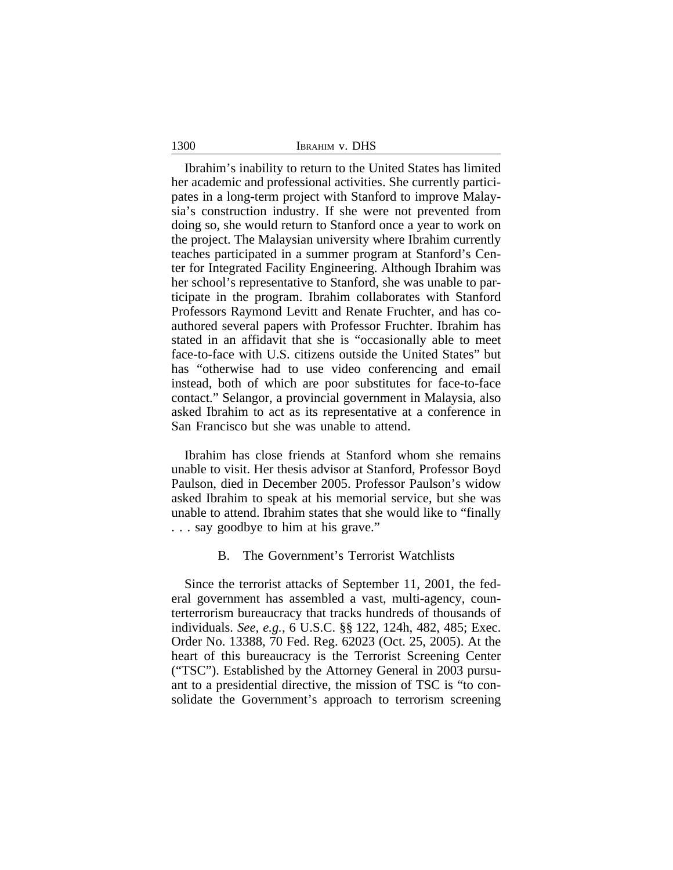Ibrahim's inability to return to the United States has limited her academic and professional activities. She currently participates in a long-term project with Stanford to improve Malaysia's construction industry. If she were not prevented from doing so, she would return to Stanford once a year to work on the project. The Malaysian university where Ibrahim currently teaches participated in a summer program at Stanford's Center for Integrated Facility Engineering. Although Ibrahim was her school's representative to Stanford, she was unable to participate in the program. Ibrahim collaborates with Stanford Professors Raymond Levitt and Renate Fruchter, and has coauthored several papers with Professor Fruchter. Ibrahim has stated in an affidavit that she is "occasionally able to meet face-to-face with U.S. citizens outside the United States" but has "otherwise had to use video conferencing and email instead, both of which are poor substitutes for face-to-face contact." Selangor, a provincial government in Malaysia, also asked Ibrahim to act as its representative at a conference in San Francisco but she was unable to attend.

Ibrahim has close friends at Stanford whom she remains unable to visit. Her thesis advisor at Stanford, Professor Boyd Paulson, died in December 2005. Professor Paulson's widow asked Ibrahim to speak at his memorial service, but she was unable to attend. Ibrahim states that she would like to "finally . . . say goodbye to him at his grave."

## B. The Government's Terrorist Watchlists

Since the terrorist attacks of September 11, 2001, the federal government has assembled a vast, multi-agency, counterterrorism bureaucracy that tracks hundreds of thousands of individuals. *See, e.g.*, 6 U.S.C. §§ 122, 124h, 482, 485; Exec. Order No. 13388, 70 Fed. Reg. 62023 (Oct. 25, 2005). At the heart of this bureaucracy is the Terrorist Screening Center ("TSC"). Established by the Attorney General in 2003 pursuant to a presidential directive, the mission of TSC is "to consolidate the Government's approach to terrorism screening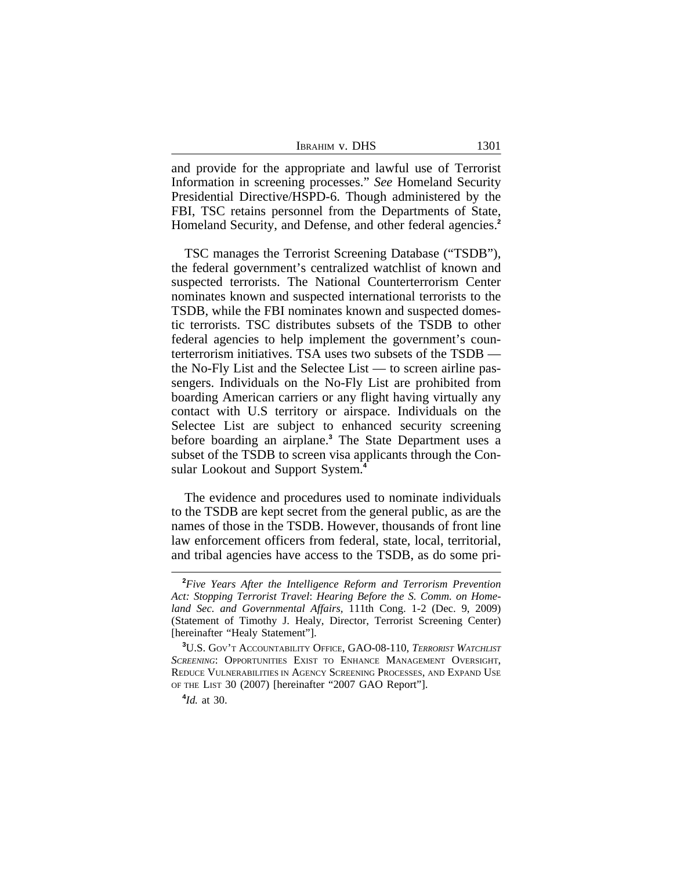| IBRAHIM V. DHS | 1301 |
|----------------|------|
|----------------|------|

and provide for the appropriate and lawful use of Terrorist Information in screening processes." *See* Homeland Security Presidential Directive/HSPD-6. Though administered by the FBI, TSC retains personnel from the Departments of State, Homeland Security, and Defense, and other federal agencies.**<sup>2</sup>**

TSC manages the Terrorist Screening Database ("TSDB"), the federal government's centralized watchlist of known and suspected terrorists. The National Counterterrorism Center nominates known and suspected international terrorists to the TSDB, while the FBI nominates known and suspected domestic terrorists. TSC distributes subsets of the TSDB to other federal agencies to help implement the government's counterterrorism initiatives. TSA uses two subsets of the TSDB the No-Fly List and the Selectee List — to screen airline passengers. Individuals on the No-Fly List are prohibited from boarding American carriers or any flight having virtually any contact with U.S territory or airspace. Individuals on the Selectee List are subject to enhanced security screening before boarding an airplane.**<sup>3</sup>** The State Department uses a subset of the TSDB to screen visa applicants through the Consular Lookout and Support System.**<sup>4</sup>**

The evidence and procedures used to nominate individuals to the TSDB are kept secret from the general public, as are the names of those in the TSDB. However, thousands of front line law enforcement officers from federal, state, local, territorial, and tribal agencies have access to the TSDB, as do some pri-

**<sup>2</sup>***Five Years After the Intelligence Reform and Terrorism Prevention Act: Stopping Terrorist Travel*: *Hearing Before the S. Comm. on Homeland Sec. and Governmental Affairs,* 111th Cong. 1-2 (Dec. 9, 2009) (Statement of Timothy J. Healy, Director, Terrorist Screening Center) [hereinafter "Healy Statement"].

**<sup>3</sup>**U.S. GOV'T ACCOUNTABILITY OFFICE, GAO-08-110, *TERRORIST WATCHLIST SCREENING*: OPPORTUNITIES EXIST TO ENHANCE MANAGEMENT OVERSIGHT, REDUCE VULNERABILITIES IN AGENCY SCREENING PROCESSES, AND EXPAND USE OF THE LIST 30 (2007) [hereinafter "2007 GAO Report"].

**<sup>4</sup>** *Id.* at 30.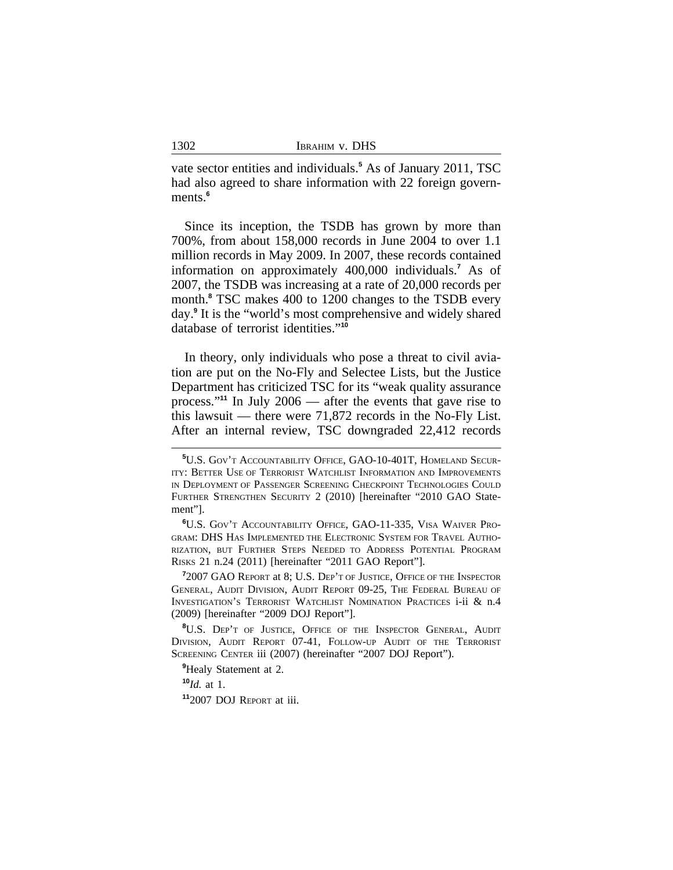vate sector entities and individuals.<sup>5</sup> As of January 2011, TSC had also agreed to share information with 22 foreign governments.**<sup>6</sup>**

Since its inception, the TSDB has grown by more than 700%, from about 158,000 records in June 2004 to over 1.1 million records in May 2009. In 2007, these records contained information on approximately 400,000 individuals.**<sup>7</sup>** As of 2007, the TSDB was increasing at a rate of 20,000 records per month.**<sup>8</sup>** TSC makes 400 to 1200 changes to the TSDB every day.**<sup>9</sup>** It is the "world's most comprehensive and widely shared database of terrorist identities." **10**

In theory, only individuals who pose a threat to civil aviation are put on the No-Fly and Selectee Lists, but the Justice Department has criticized TSC for its "weak quality assurance process." **<sup>11</sup>** In July 2006 — after the events that gave rise to this lawsuit — there were 71,872 records in the No-Fly List. After an internal review, TSC downgraded 22,412 records

**<sup>5</sup>**U.S. GOV'T ACCOUNTABILITY OFFICE, GAO-10-401T, HOMELAND SECUR-ITY: BETTER USE OF TERRORIST WATCHLIST INFORMATION AND IMPROVEMENTS IN DEPLOYMENT OF PASSENGER SCREENING CHECKPOINT TECHNOLOGIES COULD FURTHER STRENGTHEN SECURITY 2 (2010) [hereinafter "2010 GAO Statement"].

**<sup>6</sup>**U.S. GOV'T ACCOUNTABILITY OFFICE, GAO-11-335, VISA WAIVER PRO-GRAM: DHS HAS IMPLEMENTED THE ELECTRONIC SYSTEM FOR TRAVEL AUTHO-RIZATION, BUT FURTHER STEPS NEEDED TO ADDRESS POTENTIAL PROGRAM RISKS 21 n.24 (2011) [hereinafter "2011 GAO Report"].

**<sup>7</sup>** 2007 GAO REPORT at 8; U.S. DEP'T OF JUSTICE, OFFICE OF THE INSPECTOR GENERAL, AUDIT DIVISION, AUDIT REPORT 09-25, THE FEDERAL BUREAU OF INVESTIGATION'S TERRORIST WATCHLIST NOMINATION PRACTICES i-ii & n.4 (2009) [hereinafter "2009 DOJ Report"].

**<sup>8</sup>**U.S. DEP'T OF JUSTICE, OFFICE OF THE INSPECTOR GENERAL, AUDIT DIVISION, AUDIT REPORT 07-41, FOLLOW-UP AUDIT OF THE TERRORIST SCREENING CENTER iii (2007) (hereinafter "2007 DOJ Report").

**<sup>9</sup>**Healy Statement at 2.

**<sup>10</sup>***Id.* at 1.

**<sup>11</sup>**2007 DOJ REPORT at iii.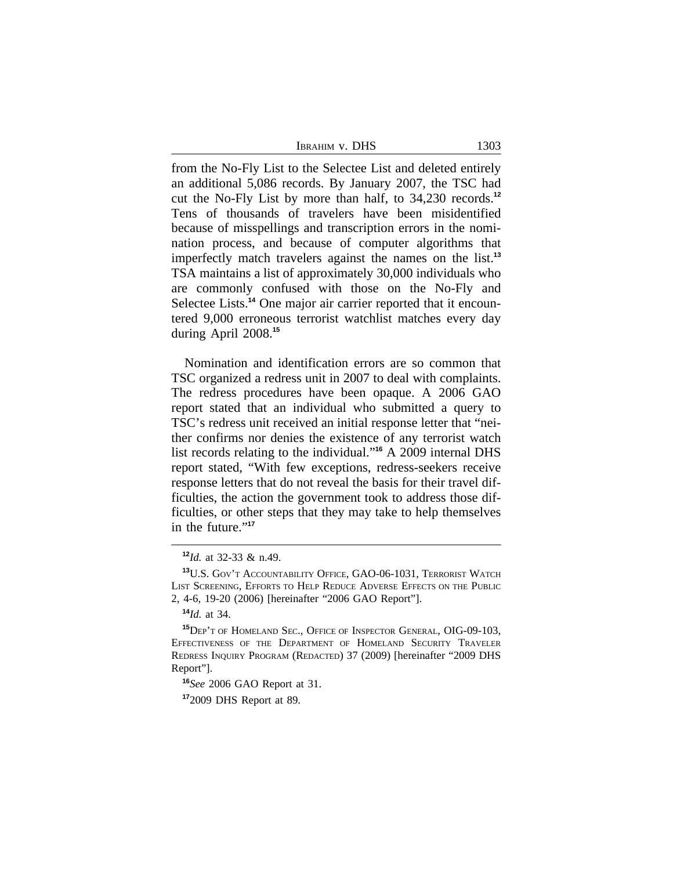| Ibrahim v. DHS | 1303 |
|----------------|------|
|                |      |

from the No-Fly List to the Selectee List and deleted entirely an additional 5,086 records. By January 2007, the TSC had cut the No-Fly List by more than half, to 34,230 records.**<sup>12</sup>** Tens of thousands of travelers have been misidentified because of misspellings and transcription errors in the nomination process, and because of computer algorithms that imperfectly match travelers against the names on the list.**<sup>13</sup>** TSA maintains a list of approximately 30,000 individuals who are commonly confused with those on the No-Fly and Selectee Lists.**14** One major air carrier reported that it encountered 9,000 erroneous terrorist watchlist matches every day during April 2008.**<sup>15</sup>**

Nomination and identification errors are so common that TSC organized a redress unit in 2007 to deal with complaints. The redress procedures have been opaque. A 2006 GAO report stated that an individual who submitted a query to TSC's redress unit received an initial response letter that "neither confirms nor denies the existence of any terrorist watch list records relating to the individual." **<sup>16</sup>** A 2009 internal DHS report stated, "With few exceptions, redress-seekers receive response letters that do not reveal the basis for their travel difficulties, the action the government took to address those difficulties, or other steps that they may take to help themselves in the future." **17**

**<sup>17</sup>**2009 DHS Report at 89.

**<sup>12</sup>***Id.* at 32-33 & n.49.

**<sup>13</sup>**U.S. GOV'T ACCOUNTABILITY OFFICE, GAO-06-1031, TERRORIST WATCH LIST SCREENING, EFFORTS TO HELP REDUCE ADVERSE EFFECTS ON THE PUBLIC 2, 4-6, 19-20 (2006) [hereinafter "2006 GAO Report"].

**<sup>14</sup>***Id.* at 34.

**<sup>15</sup>**DEP'T OF HOMELAND SEC., OFFICE OF INSPECTOR GENERAL, OIG-09-103, EFFECTIVENESS OF THE DEPARTMENT OF HOMELAND SECURITY TRAVELER REDRESS INQUIRY PROGRAM (REDACTED) 37 (2009) [hereinafter "2009 DHS Report"].

**<sup>16</sup>***See* 2006 GAO Report at 31.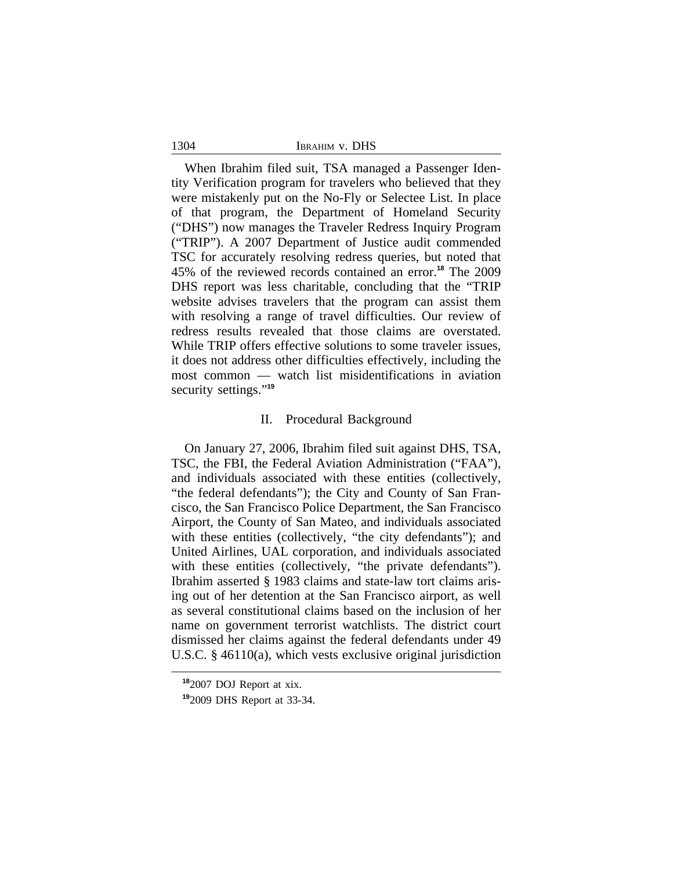| IBRAHIM V. DHS |  |
|----------------|--|
|                |  |

1304

When Ibrahim filed suit, TSA managed a Passenger Identity Verification program for travelers who believed that they were mistakenly put on the No-Fly or Selectee List. In place of that program, the Department of Homeland Security ("DHS") now manages the Traveler Redress Inquiry Program ("TRIP"). A 2007 Department of Justice audit commended TSC for accurately resolving redress queries, but noted that 45% of the reviewed records contained an error.**<sup>18</sup>** The 2009 DHS report was less charitable, concluding that the "TRIP website advises travelers that the program can assist them with resolving a range of travel difficulties. Our review of redress results revealed that those claims are overstated. While TRIP offers effective solutions to some traveler issues, it does not address other difficulties effectively, including the most common — watch list misidentifications in aviation security settings." **19**

#### II. Procedural Background

On January 27, 2006, Ibrahim filed suit against DHS, TSA, TSC, the FBI, the Federal Aviation Administration ("FAA"), and individuals associated with these entities (collectively, "the federal defendants"); the City and County of San Francisco, the San Francisco Police Department, the San Francisco Airport, the County of San Mateo, and individuals associated with these entities (collectively, "the city defendants"); and United Airlines, UAL corporation, and individuals associated with these entities (collectively, "the private defendants"). Ibrahim asserted § 1983 claims and state-law tort claims arising out of her detention at the San Francisco airport, as well as several constitutional claims based on the inclusion of her name on government terrorist watchlists. The district court dismissed her claims against the federal defendants under 49 U.S.C. § 46110(a), which vests exclusive original jurisdiction

**<sup>18</sup>**2007 DOJ Report at xix.

**<sup>19</sup>**2009 DHS Report at 33-34.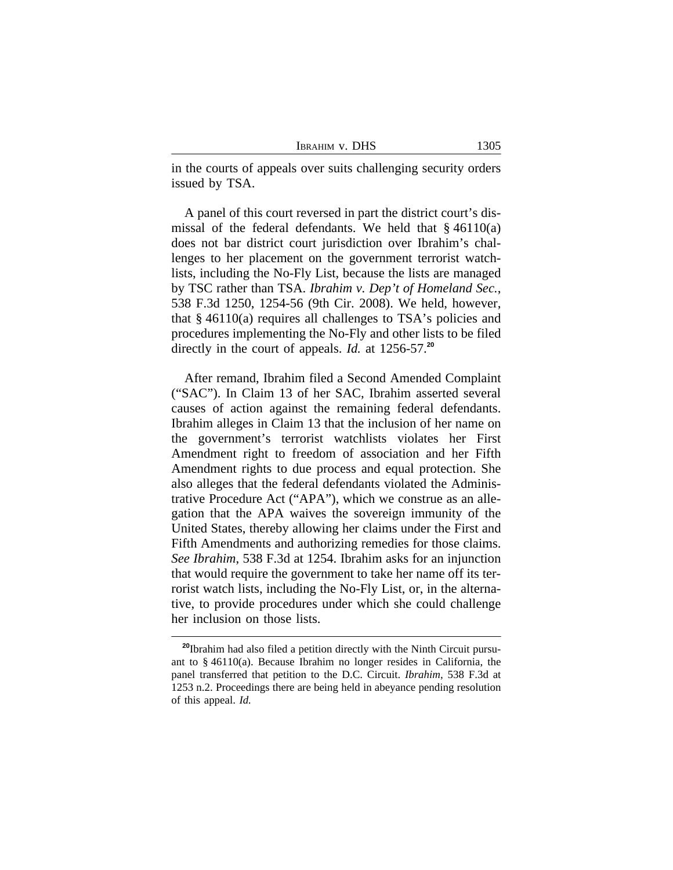in the courts of appeals over suits challenging security orders issued by TSA.

A panel of this court reversed in part the district court's dismissal of the federal defendants. We held that  $\S$  46110(a) does not bar district court jurisdiction over Ibrahim's challenges to her placement on the government terrorist watchlists, including the No-Fly List, because the lists are managed by TSC rather than TSA. *Ibrahim v. Dep't of Homeland Sec.*, 538 F.3d 1250, 1254-56 (9th Cir. 2008). We held, however, that  $§$  46110(a) requires all challenges to TSA's policies and procedures implementing the No-Fly and other lists to be filed directly in the court of appeals. *Id.* at 1256-57.**<sup>20</sup>**

After remand, Ibrahim filed a Second Amended Complaint ("SAC"). In Claim 13 of her SAC, Ibrahim asserted several causes of action against the remaining federal defendants. Ibrahim alleges in Claim 13 that the inclusion of her name on the government's terrorist watchlists violates her First Amendment right to freedom of association and her Fifth Amendment rights to due process and equal protection. She also alleges that the federal defendants violated the Administrative Procedure Act ("APA"), which we construe as an allegation that the APA waives the sovereign immunity of the United States, thereby allowing her claims under the First and Fifth Amendments and authorizing remedies for those claims. *See Ibrahim*, 538 F.3d at 1254. Ibrahim asks for an injunction that would require the government to take her name off its terrorist watch lists, including the No-Fly List, or, in the alternative, to provide procedures under which she could challenge her inclusion on those lists.

**<sup>20</sup>**Ibrahim had also filed a petition directly with the Ninth Circuit pursuant to § 46110(a). Because Ibrahim no longer resides in California, the panel transferred that petition to the D.C. Circuit. *Ibrahim*, 538 F.3d at 1253 n.2. Proceedings there are being held in abeyance pending resolution of this appeal. *Id.*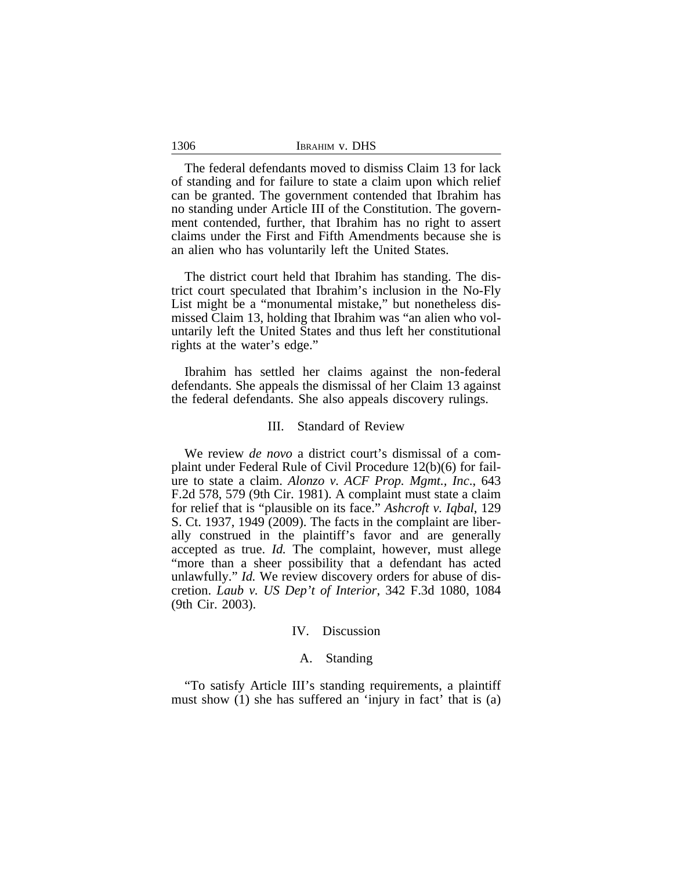|  | <b>IBRAHIM V. DHS</b> |  |
|--|-----------------------|--|
|--|-----------------------|--|

The federal defendants moved to dismiss Claim 13 for lack of standing and for failure to state a claim upon which relief can be granted. The government contended that Ibrahim has no standing under Article III of the Constitution. The government contended, further, that Ibrahim has no right to assert claims under the First and Fifth Amendments because she is an alien who has voluntarily left the United States.

The district court held that Ibrahim has standing. The district court speculated that Ibrahim's inclusion in the No-Fly List might be a "monumental mistake," but nonetheless dismissed Claim 13, holding that Ibrahim was "an alien who voluntarily left the United States and thus left her constitutional rights at the water's edge."

Ibrahim has settled her claims against the non-federal defendants. She appeals the dismissal of her Claim 13 against the federal defendants. She also appeals discovery rulings.

#### III. Standard of Review

We review *de novo* a district court's dismissal of a complaint under Federal Rule of Civil Procedure 12(b)(6) for failure to state a claim. *Alonzo v. ACF Prop. Mgmt., Inc*., 643 F.2d 578, 579 (9th Cir. 1981). A complaint must state a claim for relief that is "plausible on its face." *Ashcroft v. Iqbal*, 129 S. Ct. 1937, 1949 (2009). The facts in the complaint are liberally construed in the plaintiff's favor and are generally accepted as true. *Id.* The complaint, however, must allege "more than a sheer possibility that a defendant has acted unlawfully." *Id.* We review discovery orders for abuse of discretion. *Laub v. US Dep't of Interior*, 342 F.3d 1080, 1084 (9th Cir. 2003).

## IV. Discussion

## A. Standing

"To satisfy Article III's standing requirements, a plaintiff must show (1) she has suffered an 'injury in fact' that is (a)

1306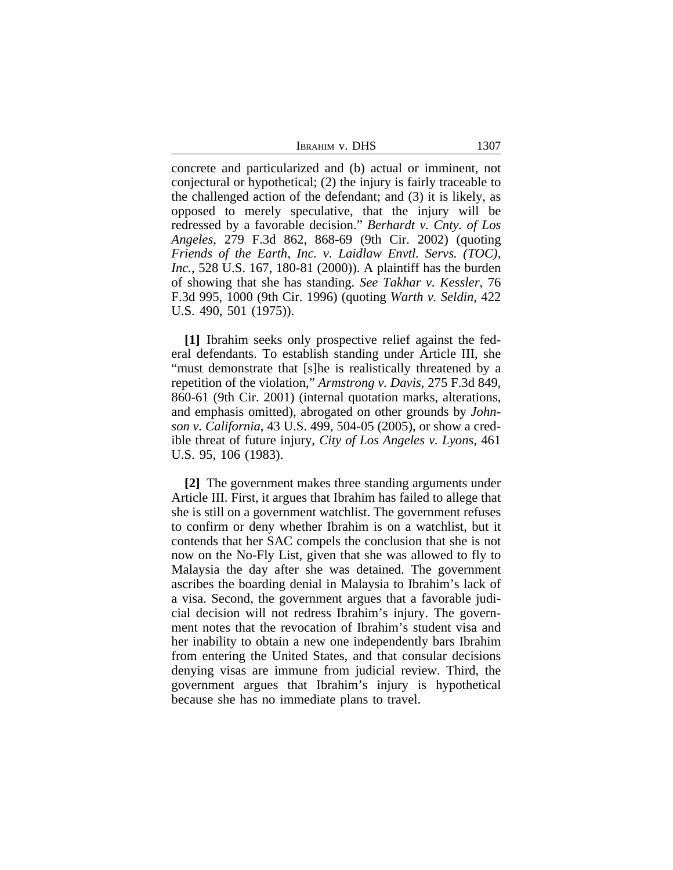concrete and particularized and (b) actual or imminent, not conjectural or hypothetical; (2) the injury is fairly traceable to the challenged action of the defendant; and (3) it is likely, as opposed to merely speculative, that the injury will be redressed by a favorable decision." *Berhardt v. Cnty. of Los Angeles*, 279 F.3d 862, 868-69 (9th Cir. 2002) (quoting *Friends of the Earth, Inc. v. Laidlaw Envtl. Servs. (TOC), Inc.*, 528 U.S. 167, 180-81 (2000)). A plaintiff has the burden of showing that she has standing. *See Takhar v. Kessler*, 76 F.3d 995, 1000 (9th Cir. 1996) (quoting *Warth v. Seldin*, 422 U.S. 490, 501 (1975)).

**[1]** Ibrahim seeks only prospective relief against the federal defendants. To establish standing under Article III, she "must demonstrate that [s]he is realistically threatened by a repetition of the violation," *Armstrong v. Davis*, 275 F.3d 849, 860-61 (9th Cir. 2001) (internal quotation marks, alterations, and emphasis omitted), abrogated on other grounds by *Johnson v. California*, 43 U.S. 499, 504-05 (2005), or show a credible threat of future injury, *City of Los Angeles v. Lyons*, 461 U.S. 95, 106 (1983).

**[2]** The government makes three standing arguments under Article III. First, it argues that Ibrahim has failed to allege that she is still on a government watchlist. The government refuses to confirm or deny whether Ibrahim is on a watchlist, but it contends that her SAC compels the conclusion that she is not now on the No-Fly List, given that she was allowed to fly to Malaysia the day after she was detained. The government ascribes the boarding denial in Malaysia to Ibrahim's lack of a visa. Second, the government argues that a favorable judicial decision will not redress Ibrahim's injury. The government notes that the revocation of Ibrahim's student visa and her inability to obtain a new one independently bars Ibrahim from entering the United States, and that consular decisions denying visas are immune from judicial review. Third, the government argues that Ibrahim's injury is hypothetical because she has no immediate plans to travel.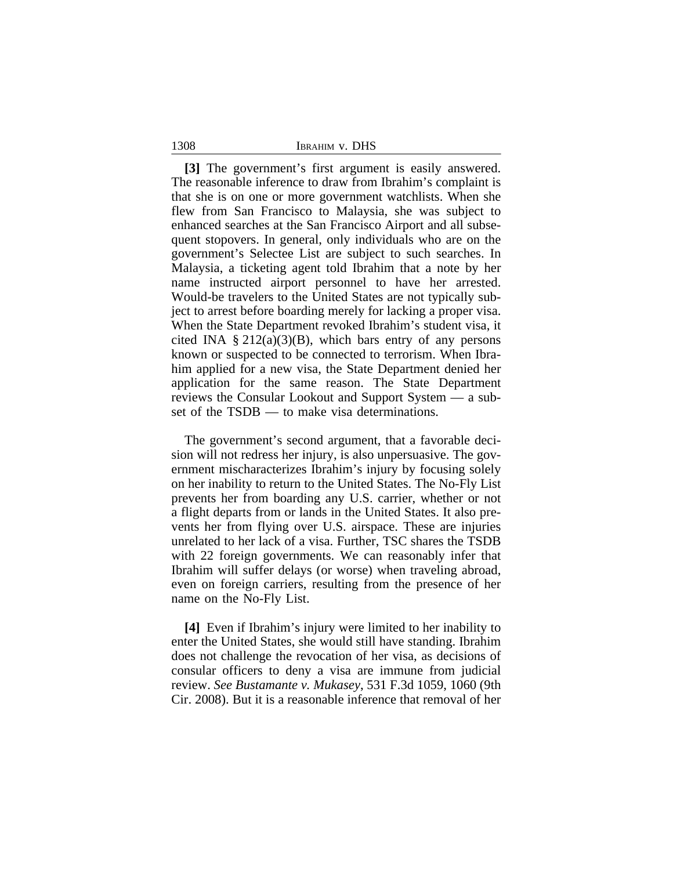**[3]** The government's first argument is easily answered. The reasonable inference to draw from Ibrahim's complaint is that she is on one or more government watchlists. When she flew from San Francisco to Malaysia, she was subject to enhanced searches at the San Francisco Airport and all subsequent stopovers. In general, only individuals who are on the government's Selectee List are subject to such searches. In Malaysia, a ticketing agent told Ibrahim that a note by her name instructed airport personnel to have her arrested. Would-be travelers to the United States are not typically subject to arrest before boarding merely for lacking a proper visa. When the State Department revoked Ibrahim's student visa, it cited INA  $\S 212(a)(3)(B)$ , which bars entry of any persons known or suspected to be connected to terrorism. When Ibrahim applied for a new visa, the State Department denied her application for the same reason. The State Department reviews the Consular Lookout and Support System — a subset of the TSDB — to make visa determinations.

The government's second argument, that a favorable decision will not redress her injury, is also unpersuasive. The government mischaracterizes Ibrahim's injury by focusing solely on her inability to return to the United States. The No-Fly List prevents her from boarding any U.S. carrier, whether or not a flight departs from or lands in the United States. It also prevents her from flying over U.S. airspace. These are injuries unrelated to her lack of a visa. Further, TSC shares the TSDB with 22 foreign governments. We can reasonably infer that Ibrahim will suffer delays (or worse) when traveling abroad, even on foreign carriers, resulting from the presence of her name on the No-Fly List.

**[4]** Even if Ibrahim's injury were limited to her inability to enter the United States, she would still have standing. Ibrahim does not challenge the revocation of her visa, as decisions of consular officers to deny a visa are immune from judicial review. *See Bustamante v. Mukasey*, 531 F.3d 1059, 1060 (9th Cir. 2008). But it is a reasonable inference that removal of her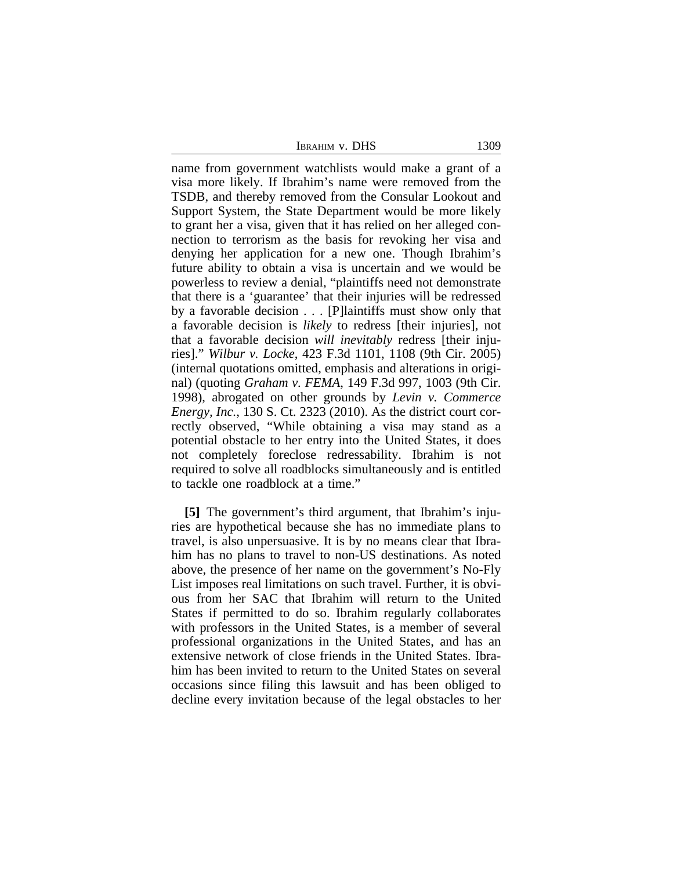name from government watchlists would make a grant of a visa more likely. If Ibrahim's name were removed from the TSDB, and thereby removed from the Consular Lookout and Support System, the State Department would be more likely to grant her a visa, given that it has relied on her alleged connection to terrorism as the basis for revoking her visa and denying her application for a new one. Though Ibrahim's future ability to obtain a visa is uncertain and we would be powerless to review a denial, "plaintiffs need not demonstrate that there is a 'guarantee' that their injuries will be redressed by a favorable decision . . . [P]laintiffs must show only that a favorable decision is *likely* to redress [their injuries], not that a favorable decision *will inevitably* redress [their injuries]." *Wilbur v. Locke*, 423 F.3d 1101, 1108 (9th Cir. 2005) (internal quotations omitted, emphasis and alterations in original) (quoting *Graham v. FEMA*, 149 F.3d 997, 1003 (9th Cir. 1998), abrogated on other grounds by *Levin v. Commerce Energy, Inc.*, 130 S. Ct. 2323 (2010). As the district court correctly observed, "While obtaining a visa may stand as a potential obstacle to her entry into the United States, it does not completely foreclose redressability. Ibrahim is not required to solve all roadblocks simultaneously and is entitled to tackle one roadblock at a time."

**[5]** The government's third argument, that Ibrahim's injuries are hypothetical because she has no immediate plans to travel, is also unpersuasive. It is by no means clear that Ibrahim has no plans to travel to non-US destinations. As noted above, the presence of her name on the government's No-Fly List imposes real limitations on such travel. Further, it is obvious from her SAC that Ibrahim will return to the United States if permitted to do so. Ibrahim regularly collaborates with professors in the United States, is a member of several professional organizations in the United States, and has an extensive network of close friends in the United States. Ibrahim has been invited to return to the United States on several occasions since filing this lawsuit and has been obliged to decline every invitation because of the legal obstacles to her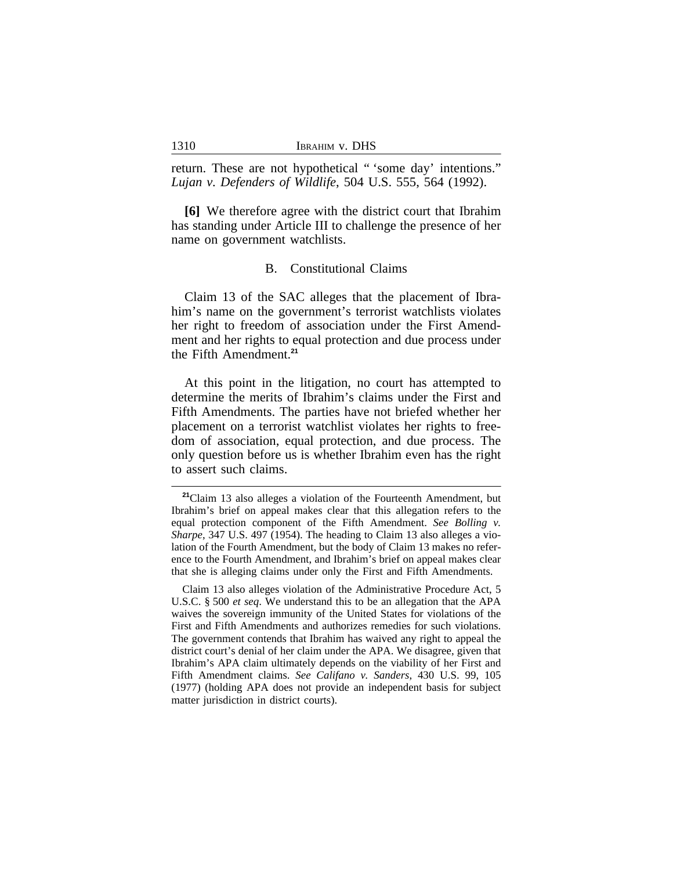| IBRAHIM V. |  | <b>DHS</b> |
|------------|--|------------|
|------------|--|------------|

return. These are not hypothetical "'some day' intentions." *Lujan v. Defenders of Wildlife*, 504 U.S. 555, 564 (1992).

**[6]** We therefore agree with the district court that Ibrahim has standing under Article III to challenge the presence of her name on government watchlists.

## B. Constitutional Claims

Claim 13 of the SAC alleges that the placement of Ibrahim's name on the government's terrorist watchlists violates her right to freedom of association under the First Amendment and her rights to equal protection and due process under the Fifth Amendment.**<sup>21</sup>**

At this point in the litigation, no court has attempted to determine the merits of Ibrahim's claims under the First and Fifth Amendments. The parties have not briefed whether her placement on a terrorist watchlist violates her rights to freedom of association, equal protection, and due process. The only question before us is whether Ibrahim even has the right to assert such claims.

Claim 13 also alleges violation of the Administrative Procedure Act, 5 U.S.C. § 500 *et seq*. We understand this to be an allegation that the APA waives the sovereign immunity of the United States for violations of the First and Fifth Amendments and authorizes remedies for such violations. The government contends that Ibrahim has waived any right to appeal the district court's denial of her claim under the APA. We disagree, given that Ibrahim's APA claim ultimately depends on the viability of her First and Fifth Amendment claims. *See Califano v. Sanders*, 430 U.S. 99, 105 (1977) (holding APA does not provide an independent basis for subject matter jurisdiction in district courts).

**<sup>21</sup>**Claim 13 also alleges a violation of the Fourteenth Amendment, but Ibrahim's brief on appeal makes clear that this allegation refers to the equal protection component of the Fifth Amendment. *See Bolling v. Sharpe*, 347 U.S. 497 (1954). The heading to Claim 13 also alleges a violation of the Fourth Amendment, but the body of Claim 13 makes no reference to the Fourth Amendment, and Ibrahim's brief on appeal makes clear that she is alleging claims under only the First and Fifth Amendments.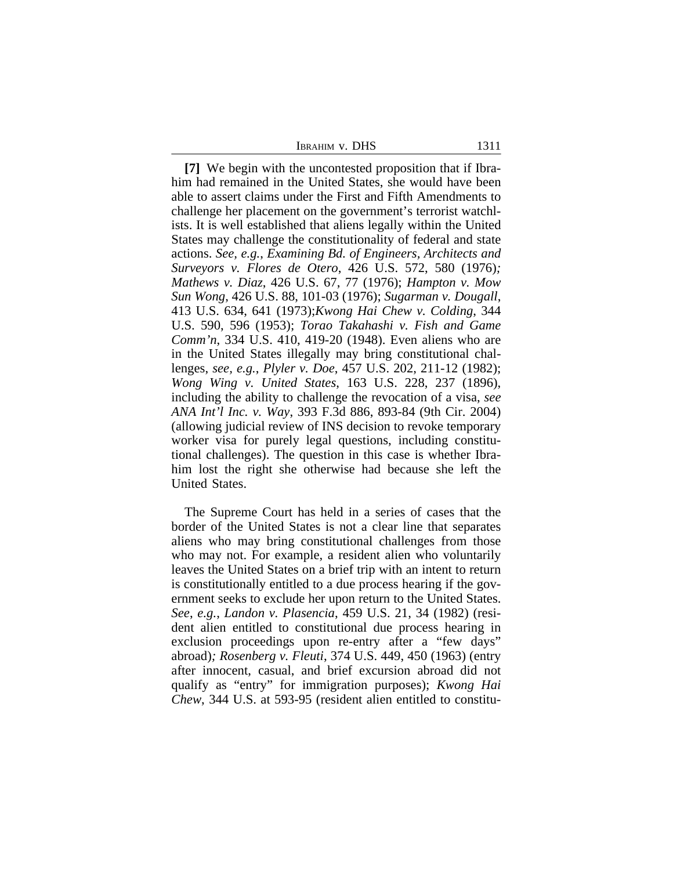**[7]** We begin with the uncontested proposition that if Ibrahim had remained in the United States, she would have been able to assert claims under the First and Fifth Amendments to challenge her placement on the government's terrorist watchlists. It is well established that aliens legally within the United States may challenge the constitutionality of federal and state actions. *See, e.g.*, *Examining Bd. of Engineers, Architects and Surveyors v. Flores de Otero*, 426 U.S. 572, 580 (1976)*; Mathews v. Diaz*, 426 U.S. 67, 77 (1976); *Hampton v. Mow Sun Wong*, 426 U.S. 88, 101-03 (1976); *Sugarman v. Dougall*, 413 U.S. 634, 641 (1973);*Kwong Hai Chew v. Colding*, 344 U.S. 590, 596 (1953); *Torao Takahashi v. Fish and Game Comm'n*, 334 U.S. 410, 419-20 (1948). Even aliens who are in the United States illegally may bring constitutional challenges, *see, e.g.*, *Plyler v. Doe*, 457 U.S. 202, 211-12 (1982); *Wong Wing v. United States*, 163 U.S. 228, 237 (1896), including the ability to challenge the revocation of a visa, *see ANA Int'l Inc. v. Way*, 393 F.3d 886, 893-84 (9th Cir. 2004) (allowing judicial review of INS decision to revoke temporary worker visa for purely legal questions, including constitutional challenges). The question in this case is whether Ibrahim lost the right she otherwise had because she left the United States.

The Supreme Court has held in a series of cases that the border of the United States is not a clear line that separates aliens who may bring constitutional challenges from those who may not. For example, a resident alien who voluntarily leaves the United States on a brief trip with an intent to return is constitutionally entitled to a due process hearing if the government seeks to exclude her upon return to the United States. *See*, *e.g.*, *Landon v. Plasencia*, 459 U.S. 21, 34 (1982) (resident alien entitled to constitutional due process hearing in exclusion proceedings upon re-entry after a "few days" abroad)*; Rosenberg v. Fleuti*, 374 U.S. 449, 450 (1963) (entry after innocent, casual, and brief excursion abroad did not qualify as "entry" for immigration purposes); *Kwong Hai Chew*, 344 U.S. at 593-95 (resident alien entitled to constitu-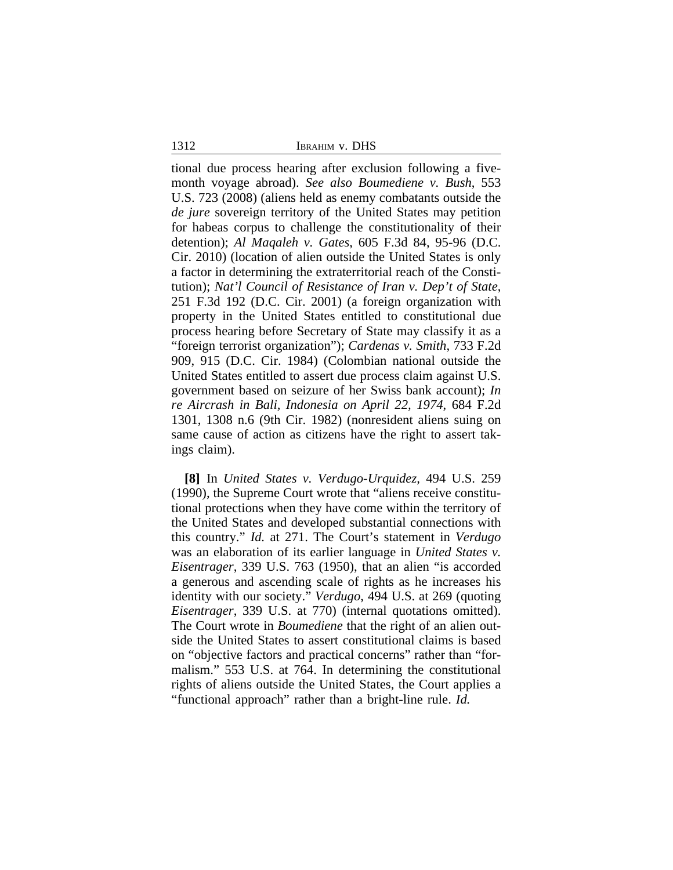tional due process hearing after exclusion following a fivemonth voyage abroad). *See also Boumediene v. Bush*, 553 U.S. 723 (2008) (aliens held as enemy combatants outside the *de jure* sovereign territory of the United States may petition for habeas corpus to challenge the constitutionality of their detention); *Al Maqaleh v. Gates*, 605 F.3d 84, 95-96 (D.C. Cir. 2010) (location of alien outside the United States is only a factor in determining the extraterritorial reach of the Constitution); *Nat'l Council of Resistance of Iran v. Dep't of State*, 251 F.3d 192 (D.C. Cir. 2001) (a foreign organization with property in the United States entitled to constitutional due process hearing before Secretary of State may classify it as a "foreign terrorist organization"); *Cardenas v. Smith*, 733 F.2d 909, 915 (D.C. Cir. 1984) (Colombian national outside the United States entitled to assert due process claim against U.S. government based on seizure of her Swiss bank account); *In re Aircrash in Bali, Indonesia on April 22, 1974*, 684 F.2d 1301, 1308 n.6 (9th Cir. 1982) (nonresident aliens suing on same cause of action as citizens have the right to assert takings claim).

**[8]** In *United States v. Verdugo-Urquidez,* 494 U.S. 259 (1990), the Supreme Court wrote that "aliens receive constitutional protections when they have come within the territory of the United States and developed substantial connections with this country." *Id.* at 271. The Court's statement in *Verdugo* was an elaboration of its earlier language in *United States v. Eisentrager*, 339 U.S. 763 (1950), that an alien "is accorded a generous and ascending scale of rights as he increases his identity with our society." *Verdugo*, 494 U.S. at 269 (quoting *Eisentrager*, 339 U.S. at 770) (internal quotations omitted). The Court wrote in *Boumediene* that the right of an alien outside the United States to assert constitutional claims is based on "objective factors and practical concerns" rather than "formalism." 553 U.S. at 764. In determining the constitutional rights of aliens outside the United States, the Court applies a "functional approach" rather than a bright-line rule. *Id.*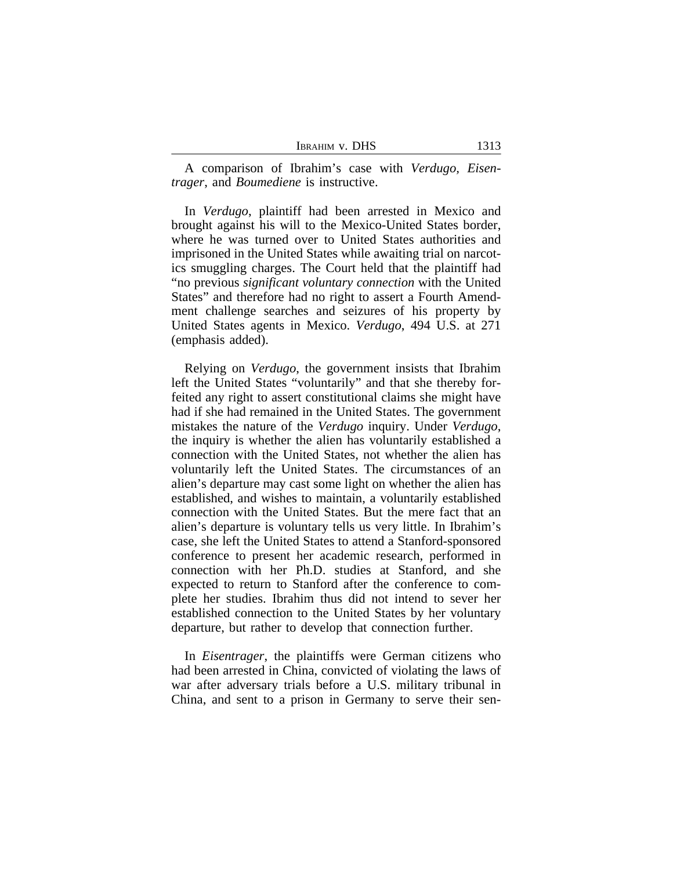A comparison of Ibrahim's case with *Verdugo, Eisentrager*, and *Boumediene* is instructive.

In *Verdugo*, plaintiff had been arrested in Mexico and brought against his will to the Mexico-United States border, where he was turned over to United States authorities and imprisoned in the United States while awaiting trial on narcotics smuggling charges. The Court held that the plaintiff had "no previous *significant voluntary connection* with the United States" and therefore had no right to assert a Fourth Amendment challenge searches and seizures of his property by United States agents in Mexico. *Verdugo*, 494 U.S. at 271 (emphasis added).

Relying on *Verdugo*, the government insists that Ibrahim left the United States "voluntarily" and that she thereby forfeited any right to assert constitutional claims she might have had if she had remained in the United States. The government mistakes the nature of the *Verdugo* inquiry. Under *Verdugo*, the inquiry is whether the alien has voluntarily established a connection with the United States, not whether the alien has voluntarily left the United States. The circumstances of an alien's departure may cast some light on whether the alien has established, and wishes to maintain, a voluntarily established connection with the United States. But the mere fact that an alien's departure is voluntary tells us very little. In Ibrahim's case, she left the United States to attend a Stanford-sponsored conference to present her academic research, performed in connection with her Ph.D. studies at Stanford, and she expected to return to Stanford after the conference to complete her studies. Ibrahim thus did not intend to sever her established connection to the United States by her voluntary departure, but rather to develop that connection further.

In *Eisentrager*, the plaintiffs were German citizens who had been arrested in China, convicted of violating the laws of war after adversary trials before a U.S. military tribunal in China, and sent to a prison in Germany to serve their sen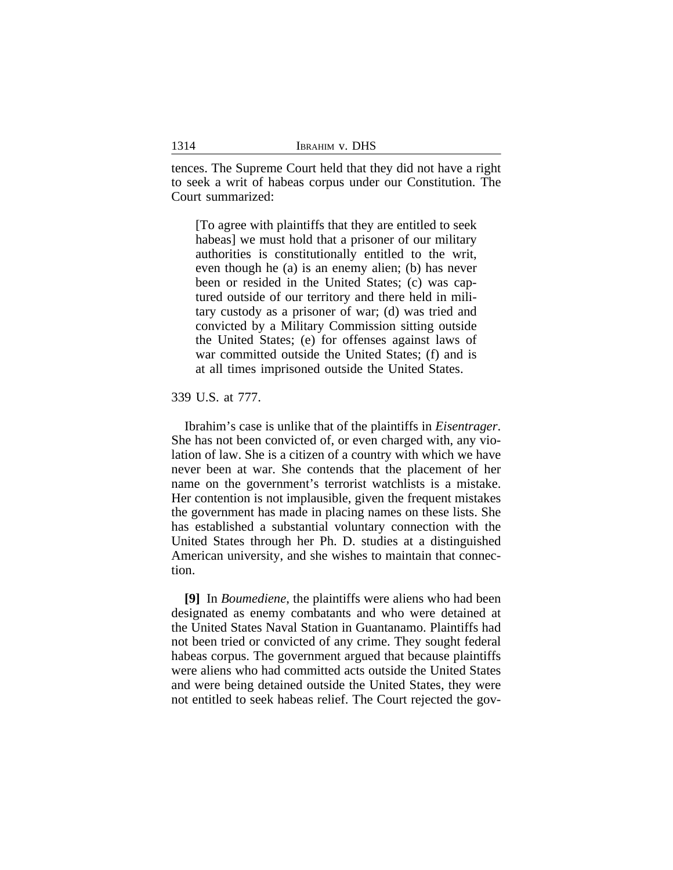tences. The Supreme Court held that they did not have a right to seek a writ of habeas corpus under our Constitution. The Court summarized:

[To agree with plaintiffs that they are entitled to seek habeas] we must hold that a prisoner of our military authorities is constitutionally entitled to the writ, even though he (a) is an enemy alien; (b) has never been or resided in the United States; (c) was captured outside of our territory and there held in military custody as a prisoner of war; (d) was tried and convicted by a Military Commission sitting outside the United States; (e) for offenses against laws of war committed outside the United States; (f) and is at all times imprisoned outside the United States.

339 U.S. at 777.

Ibrahim's case is unlike that of the plaintiffs in *Eisentrager*. She has not been convicted of, or even charged with, any violation of law. She is a citizen of a country with which we have never been at war. She contends that the placement of her name on the government's terrorist watchlists is a mistake. Her contention is not implausible, given the frequent mistakes the government has made in placing names on these lists. She has established a substantial voluntary connection with the United States through her Ph. D. studies at a distinguished American university, and she wishes to maintain that connection.

**[9]** In *Boumediene*, the plaintiffs were aliens who had been designated as enemy combatants and who were detained at the United States Naval Station in Guantanamo. Plaintiffs had not been tried or convicted of any crime. They sought federal habeas corpus. The government argued that because plaintiffs were aliens who had committed acts outside the United States and were being detained outside the United States, they were not entitled to seek habeas relief. The Court rejected the gov-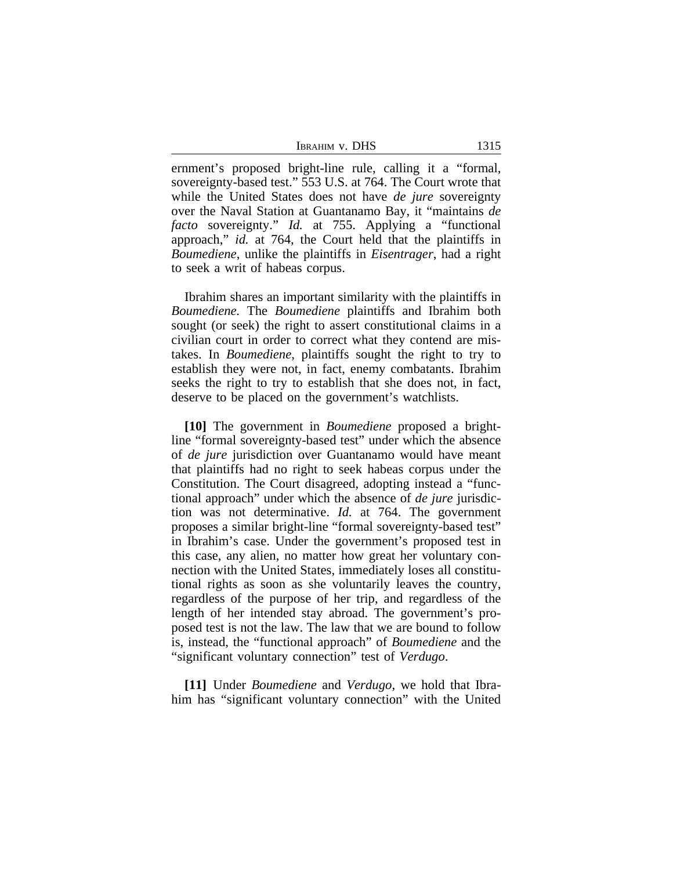ernment's proposed bright-line rule, calling it a "formal, sovereignty-based test." 553 U.S. at 764. The Court wrote that while the United States does not have *de jure* sovereignty over the Naval Station at Guantanamo Bay, it "maintains *de facto* sovereignty." *Id.* at 755. Applying a "functional approach," *id.* at 764, the Court held that the plaintiffs in *Boumediene*, unlike the plaintiffs in *Eisentrager*, had a right to seek a writ of habeas corpus.

Ibrahim shares an important similarity with the plaintiffs in *Boumediene.* The *Boumediene* plaintiffs and Ibrahim both sought (or seek) the right to assert constitutional claims in a civilian court in order to correct what they contend are mistakes. In *Boumediene*, plaintiffs sought the right to try to establish they were not, in fact, enemy combatants. Ibrahim seeks the right to try to establish that she does not, in fact, deserve to be placed on the government's watchlists.

**[10]** The government in *Boumediene* proposed a brightline "formal sovereignty-based test" under which the absence of *de jure* jurisdiction over Guantanamo would have meant that plaintiffs had no right to seek habeas corpus under the Constitution. The Court disagreed, adopting instead a "functional approach" under which the absence of *de jure* jurisdiction was not determinative. *Id.* at 764. The government proposes a similar bright-line "formal sovereignty-based test" in Ibrahim's case. Under the government's proposed test in this case, any alien, no matter how great her voluntary connection with the United States, immediately loses all constitutional rights as soon as she voluntarily leaves the country, regardless of the purpose of her trip, and regardless of the length of her intended stay abroad. The government's proposed test is not the law. The law that we are bound to follow is, instead, the "functional approach" of *Boumediene* and the "significant voluntary connection" test of *Verdugo*.

**[11]** Under *Boumediene* and *Verdugo*, we hold that Ibrahim has "significant voluntary connection" with the United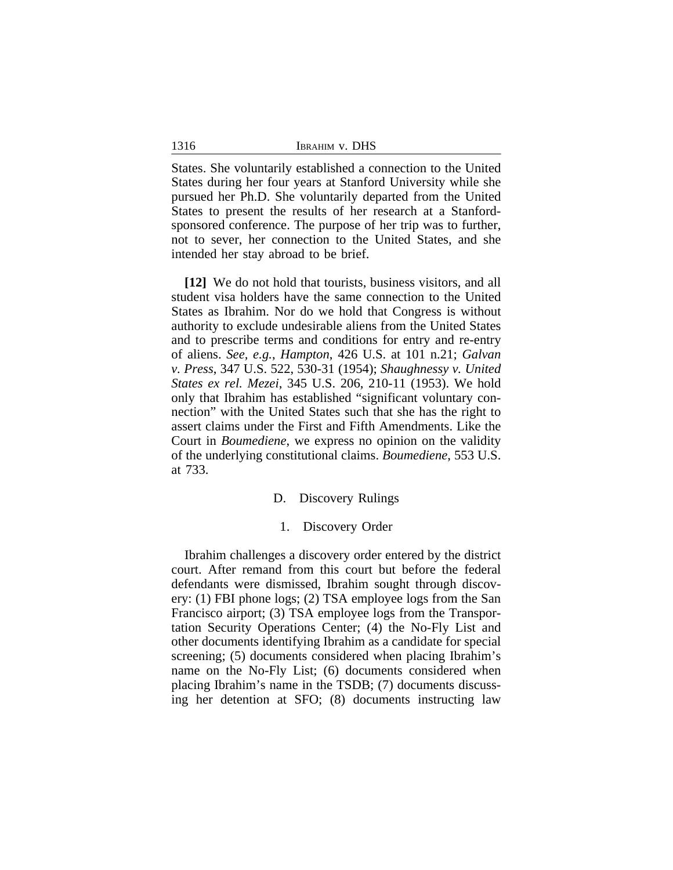States. She voluntarily established a connection to the United States during her four years at Stanford University while she pursued her Ph.D. She voluntarily departed from the United States to present the results of her research at a Stanfordsponsored conference. The purpose of her trip was to further, not to sever, her connection to the United States, and she intended her stay abroad to be brief.

**[12]** We do not hold that tourists, business visitors, and all student visa holders have the same connection to the United States as Ibrahim. Nor do we hold that Congress is without authority to exclude undesirable aliens from the United States and to prescribe terms and conditions for entry and re-entry of aliens. *See, e.g.*, *Hampton*, 426 U.S. at 101 n.21; *Galvan v. Press*, 347 U.S. 522, 530-31 (1954); *Shaughnessy v. United States ex rel. Mezei*, 345 U.S. 206, 210-11 (1953). We hold only that Ibrahim has established "significant voluntary connection" with the United States such that she has the right to assert claims under the First and Fifth Amendments. Like the Court in *Boumediene*, we express no opinion on the validity of the underlying constitutional claims. *Boumediene*, 553 U.S. at 733.

## D. Discovery Rulings

#### 1. Discovery Order

Ibrahim challenges a discovery order entered by the district court. After remand from this court but before the federal defendants were dismissed, Ibrahim sought through discovery: (1) FBI phone logs; (2) TSA employee logs from the San Francisco airport; (3) TSA employee logs from the Transportation Security Operations Center; (4) the No-Fly List and other documents identifying Ibrahim as a candidate for special screening; (5) documents considered when placing Ibrahim's name on the No-Fly List; (6) documents considered when placing Ibrahim's name in the TSDB; (7) documents discussing her detention at SFO; (8) documents instructing law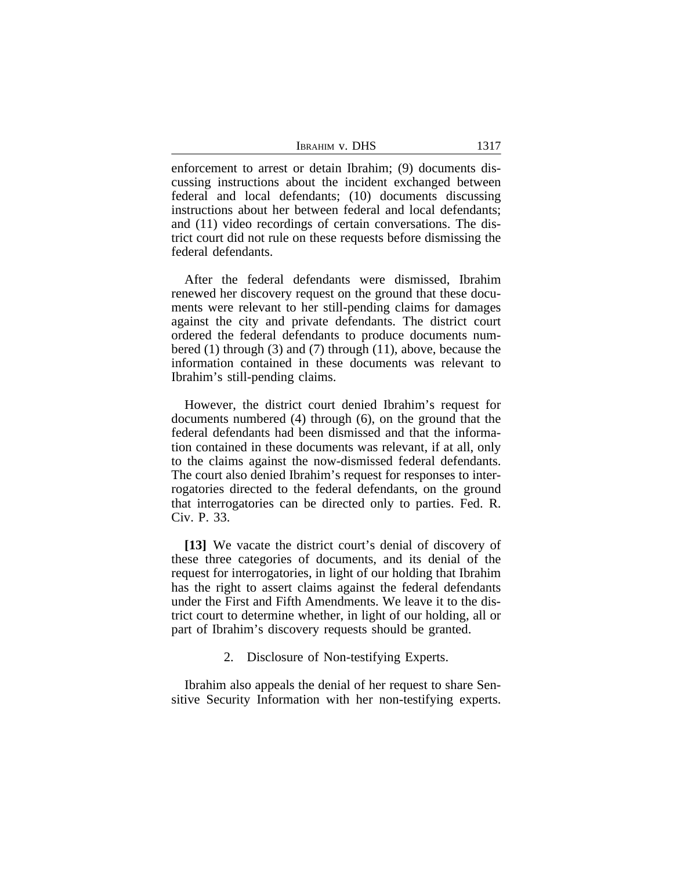enforcement to arrest or detain Ibrahim; (9) documents discussing instructions about the incident exchanged between federal and local defendants; (10) documents discussing instructions about her between federal and local defendants; and (11) video recordings of certain conversations. The district court did not rule on these requests before dismissing the federal defendants.

After the federal defendants were dismissed, Ibrahim renewed her discovery request on the ground that these documents were relevant to her still-pending claims for damages against the city and private defendants. The district court ordered the federal defendants to produce documents numbered (1) through (3) and (7) through (11), above, because the information contained in these documents was relevant to Ibrahim's still-pending claims.

However, the district court denied Ibrahim's request for documents numbered (4) through (6), on the ground that the federal defendants had been dismissed and that the information contained in these documents was relevant, if at all, only to the claims against the now-dismissed federal defendants. The court also denied Ibrahim's request for responses to interrogatories directed to the federal defendants, on the ground that interrogatories can be directed only to parties. Fed. R. Civ. P. 33.

**[13]** We vacate the district court's denial of discovery of these three categories of documents, and its denial of the request for interrogatories, in light of our holding that Ibrahim has the right to assert claims against the federal defendants under the First and Fifth Amendments. We leave it to the district court to determine whether, in light of our holding, all or part of Ibrahim's discovery requests should be granted.

2. Disclosure of Non-testifying Experts.

Ibrahim also appeals the denial of her request to share Sensitive Security Information with her non-testifying experts.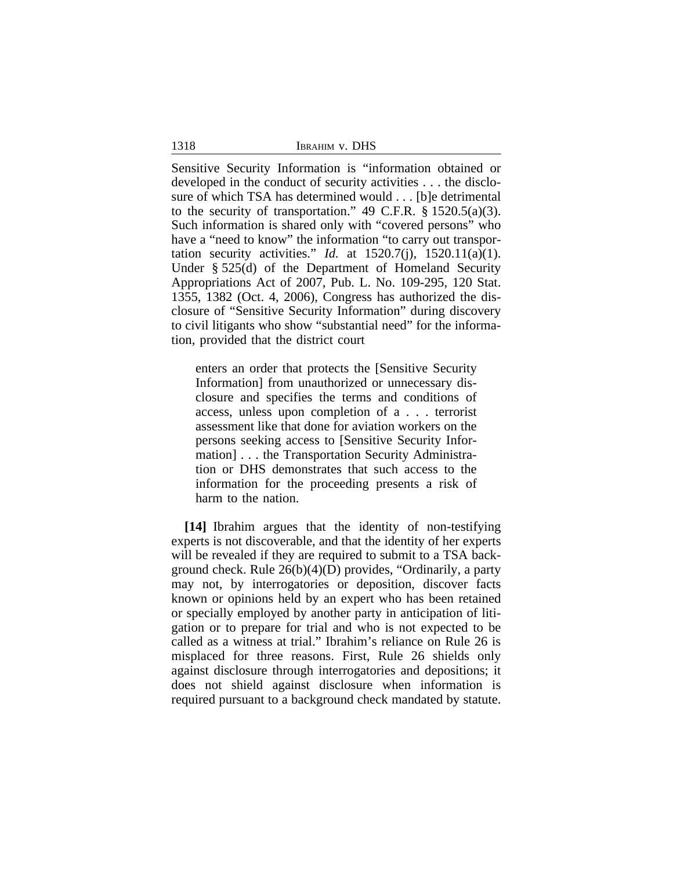Sensitive Security Information is "information obtained or developed in the conduct of security activities . . . the disclosure of which TSA has determined would . . . [b]e detrimental to the security of transportation."  $49$  C.F.R.  $\S$  1520.5(a)(3). Such information is shared only with "covered persons" who have a "need to know" the information "to carry out transportation security activities." *Id.* at 1520.7(j), 1520.11(a)(1). Under § 525(d) of the Department of Homeland Security Appropriations Act of 2007, Pub. L. No. 109-295, 120 Stat. 1355, 1382 (Oct. 4, 2006), Congress has authorized the disclosure of "Sensitive Security Information" during discovery to civil litigants who show "substantial need" for the information, provided that the district court

enters an order that protects the [Sensitive Security Information] from unauthorized or unnecessary disclosure and specifies the terms and conditions of access, unless upon completion of a . . . terrorist assessment like that done for aviation workers on the persons seeking access to [Sensitive Security Information] . . . the Transportation Security Administration or DHS demonstrates that such access to the information for the proceeding presents a risk of harm to the nation.

**[14]** Ibrahim argues that the identity of non-testifying experts is not discoverable, and that the identity of her experts will be revealed if they are required to submit to a TSA background check. Rule 26(b)(4)(D) provides, "Ordinarily, a party may not, by interrogatories or deposition, discover facts known or opinions held by an expert who has been retained or specially employed by another party in anticipation of litigation or to prepare for trial and who is not expected to be called as a witness at trial." Ibrahim's reliance on Rule 26 is misplaced for three reasons. First, Rule 26 shields only against disclosure through interrogatories and depositions; it does not shield against disclosure when information is required pursuant to a background check mandated by statute.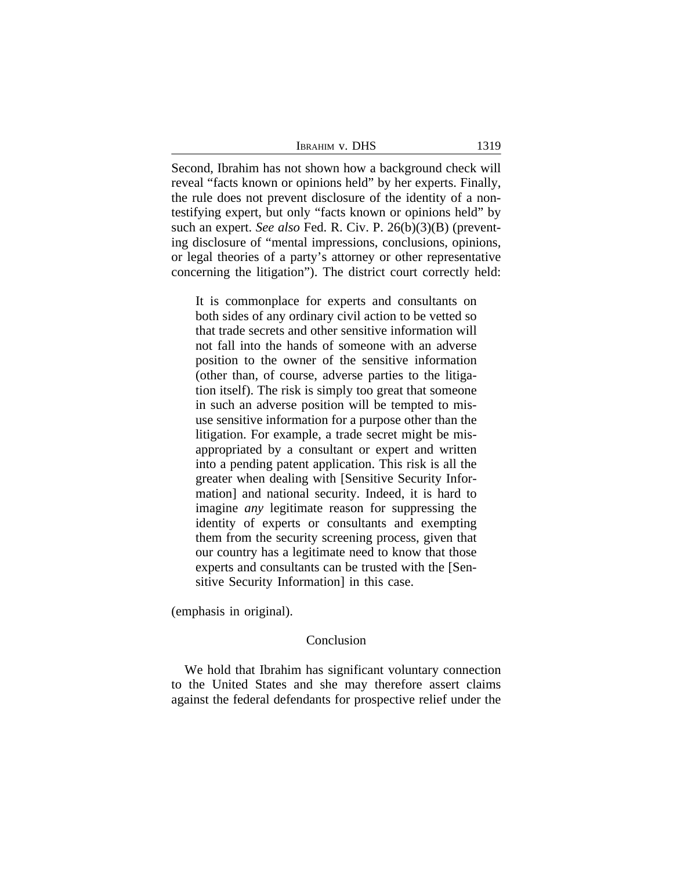| IBRAHIM V. DHS | 1319 |
|----------------|------|
|----------------|------|

Second, Ibrahim has not shown how a background check will reveal "facts known or opinions held" by her experts. Finally, the rule does not prevent disclosure of the identity of a nontestifying expert, but only "facts known or opinions held" by such an expert. *See also* Fed. R. Civ. P. 26(b)(3)(B) (preventing disclosure of "mental impressions, conclusions, opinions, or legal theories of a party's attorney or other representative concerning the litigation"). The district court correctly held:

It is commonplace for experts and consultants on both sides of any ordinary civil action to be vetted so that trade secrets and other sensitive information will not fall into the hands of someone with an adverse position to the owner of the sensitive information (other than, of course, adverse parties to the litigation itself). The risk is simply too great that someone in such an adverse position will be tempted to misuse sensitive information for a purpose other than the litigation. For example, a trade secret might be misappropriated by a consultant or expert and written into a pending patent application. This risk is all the greater when dealing with [Sensitive Security Information] and national security. Indeed, it is hard to imagine *any* legitimate reason for suppressing the identity of experts or consultants and exempting them from the security screening process, given that our country has a legitimate need to know that those experts and consultants can be trusted with the [Sensitive Security Information] in this case.

(emphasis in original).

### Conclusion

We hold that Ibrahim has significant voluntary connection to the United States and she may therefore assert claims against the federal defendants for prospective relief under the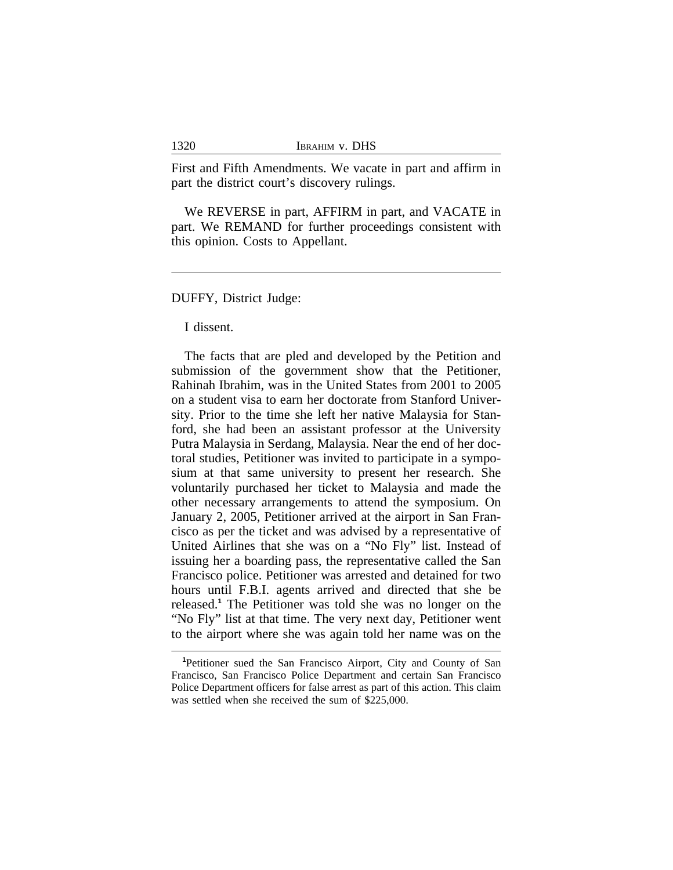First and Fifth Amendments. We vacate in part and affirm in part the district court's discovery rulings.

We REVERSE in part, AFFIRM in part, and VACATE in part. We REMAND for further proceedings consistent with this opinion. Costs to Appellant.

#### DUFFY, District Judge:

I dissent.

The facts that are pled and developed by the Petition and submission of the government show that the Petitioner, Rahinah Ibrahim, was in the United States from 2001 to 2005 on a student visa to earn her doctorate from Stanford University. Prior to the time she left her native Malaysia for Stanford, she had been an assistant professor at the University Putra Malaysia in Serdang, Malaysia. Near the end of her doctoral studies, Petitioner was invited to participate in a symposium at that same university to present her research. She voluntarily purchased her ticket to Malaysia and made the other necessary arrangements to attend the symposium. On January 2, 2005, Petitioner arrived at the airport in San Francisco as per the ticket and was advised by a representative of United Airlines that she was on a "No Fly" list. Instead of issuing her a boarding pass, the representative called the San Francisco police. Petitioner was arrested and detained for two hours until F.B.I. agents arrived and directed that she be released.**<sup>1</sup>** The Petitioner was told she was no longer on the "No Fly" list at that time. The very next day, Petitioner went to the airport where she was again told her name was on the

**<sup>1</sup>**Petitioner sued the San Francisco Airport, City and County of San Francisco, San Francisco Police Department and certain San Francisco Police Department officers for false arrest as part of this action. This claim was settled when she received the sum of \$225,000.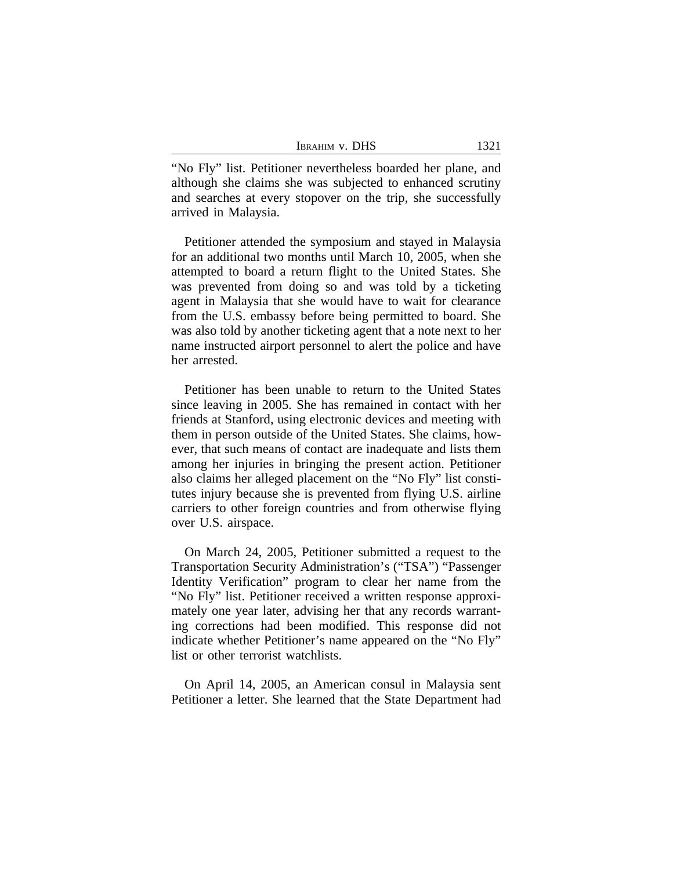| IBRAHIM V. DHS | 1321 |
|----------------|------|
|----------------|------|

"No Fly" list. Petitioner nevertheless boarded her plane, and although she claims she was subjected to enhanced scrutiny and searches at every stopover on the trip, she successfully arrived in Malaysia.

Petitioner attended the symposium and stayed in Malaysia for an additional two months until March 10, 2005, when she attempted to board a return flight to the United States. She was prevented from doing so and was told by a ticketing agent in Malaysia that she would have to wait for clearance from the U.S. embassy before being permitted to board. She was also told by another ticketing agent that a note next to her name instructed airport personnel to alert the police and have her arrested.

Petitioner has been unable to return to the United States since leaving in 2005. She has remained in contact with her friends at Stanford, using electronic devices and meeting with them in person outside of the United States. She claims, however, that such means of contact are inadequate and lists them among her injuries in bringing the present action. Petitioner also claims her alleged placement on the "No Fly" list constitutes injury because she is prevented from flying U.S. airline carriers to other foreign countries and from otherwise flying over U.S. airspace.

On March 24, 2005, Petitioner submitted a request to the Transportation Security Administration's ("TSA") "Passenger Identity Verification" program to clear her name from the "No Fly" list. Petitioner received a written response approximately one year later, advising her that any records warranting corrections had been modified. This response did not indicate whether Petitioner's name appeared on the "No Fly" list or other terrorist watchlists.

On April 14, 2005, an American consul in Malaysia sent Petitioner a letter. She learned that the State Department had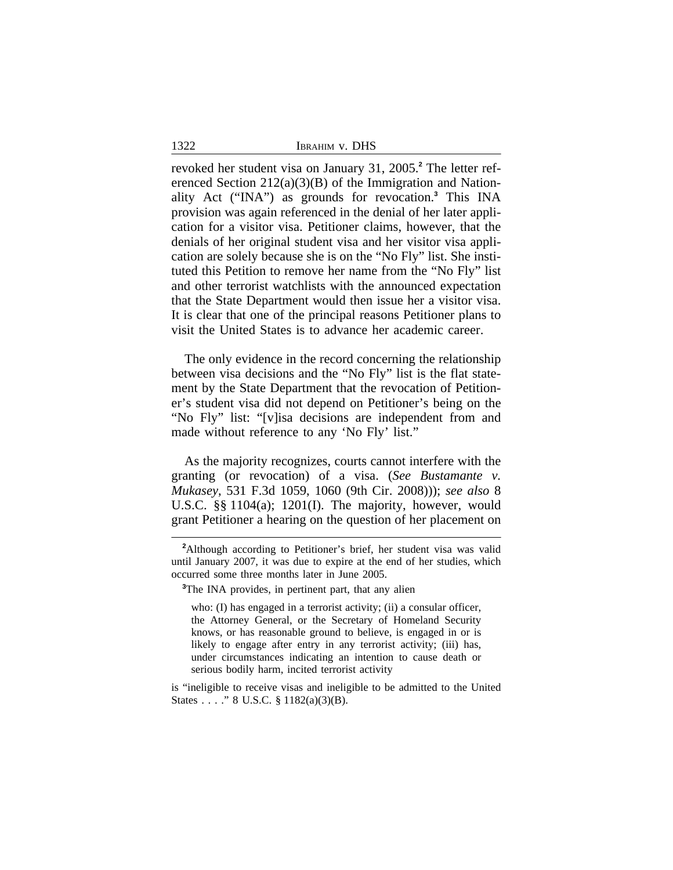| IBRAHIM V. DHS |  |  |
|----------------|--|--|
|----------------|--|--|

revoked her student visa on January 31, 2005.**<sup>2</sup>** The letter referenced Section 212(a)(3)(B) of the Immigration and Nationality Act ("INA") as grounds for revocation.**<sup>3</sup>** This INA provision was again referenced in the denial of her later application for a visitor visa. Petitioner claims, however, that the denials of her original student visa and her visitor visa application are solely because she is on the "No Fly" list. She instituted this Petition to remove her name from the "No Fly" list and other terrorist watchlists with the announced expectation that the State Department would then issue her a visitor visa. It is clear that one of the principal reasons Petitioner plans to visit the United States is to advance her academic career.

The only evidence in the record concerning the relationship between visa decisions and the "No Fly" list is the flat statement by the State Department that the revocation of Petitioner's student visa did not depend on Petitioner's being on the "No Fly" list: "[v]isa decisions are independent from and made without reference to any 'No Fly' list."

As the majority recognizes, courts cannot interfere with the granting (or revocation) of a visa. (*See Bustamante v. Mukasey*, 531 F.3d 1059, 1060 (9th Cir. 2008))); *see also* 8 U.S.C. §§ 1104(a); 1201(I). The majority, however, would grant Petitioner a hearing on the question of her placement on

who: (I) has engaged in a terrorist activity; (ii) a consular officer, the Attorney General, or the Secretary of Homeland Security knows, or has reasonable ground to believe, is engaged in or is likely to engage after entry in any terrorist activity; (iii) has, under circumstances indicating an intention to cause death or serious bodily harm, incited terrorist activity

is "ineligible to receive visas and ineligible to be admitted to the United States . . . ." 8 U.S.C. § 1182(a)(3)(B).

1322

<sup>&</sup>lt;sup>2</sup>Although according to Petitioner's brief, her student visa was valid until January 2007, it was due to expire at the end of her studies, which occurred some three months later in June 2005.

**<sup>3</sup>**The INA provides, in pertinent part, that any alien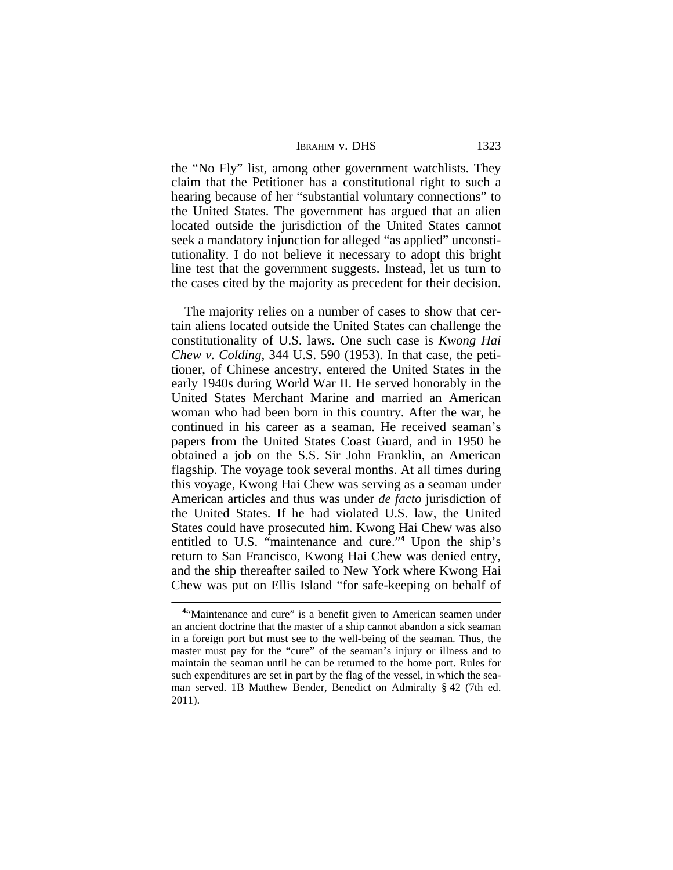| 1323<br>Ibrahim v. DHS |  |
|------------------------|--|
|                        |  |

the "No Fly" list, among other government watchlists. They claim that the Petitioner has a constitutional right to such a hearing because of her "substantial voluntary connections" to the United States. The government has argued that an alien located outside the jurisdiction of the United States cannot seek a mandatory injunction for alleged "as applied" unconstitutionality. I do not believe it necessary to adopt this bright line test that the government suggests. Instead, let us turn to the cases cited by the majority as precedent for their decision.

The majority relies on a number of cases to show that certain aliens located outside the United States can challenge the constitutionality of U.S. laws. One such case is *Kwong Hai Chew v. Colding*, 344 U.S. 590 (1953). In that case, the petitioner, of Chinese ancestry, entered the United States in the early 1940s during World War II. He served honorably in the United States Merchant Marine and married an American woman who had been born in this country. After the war, he continued in his career as a seaman. He received seaman's papers from the United States Coast Guard, and in 1950 he obtained a job on the S.S. Sir John Franklin, an American flagship. The voyage took several months. At all times during this voyage, Kwong Hai Chew was serving as a seaman under American articles and thus was under *de facto* jurisdiction of the United States. If he had violated U.S. law, the United States could have prosecuted him. Kwong Hai Chew was also entitled to U.S. "maintenance and cure."<sup>4</sup> Upon the ship's return to San Francisco, Kwong Hai Chew was denied entry, and the ship thereafter sailed to New York where Kwong Hai Chew was put on Ellis Island "for safe-keeping on behalf of

<sup>&</sup>lt;sup>4</sup><sup>4</sup>Maintenance and cure" is a benefit given to American seamen under an ancient doctrine that the master of a ship cannot abandon a sick seaman in a foreign port but must see to the well-being of the seaman. Thus, the master must pay for the "cure" of the seaman's injury or illness and to maintain the seaman until he can be returned to the home port. Rules for such expenditures are set in part by the flag of the vessel, in which the seaman served. 1B Matthew Bender, Benedict on Admiralty § 42 (7th ed. 2011).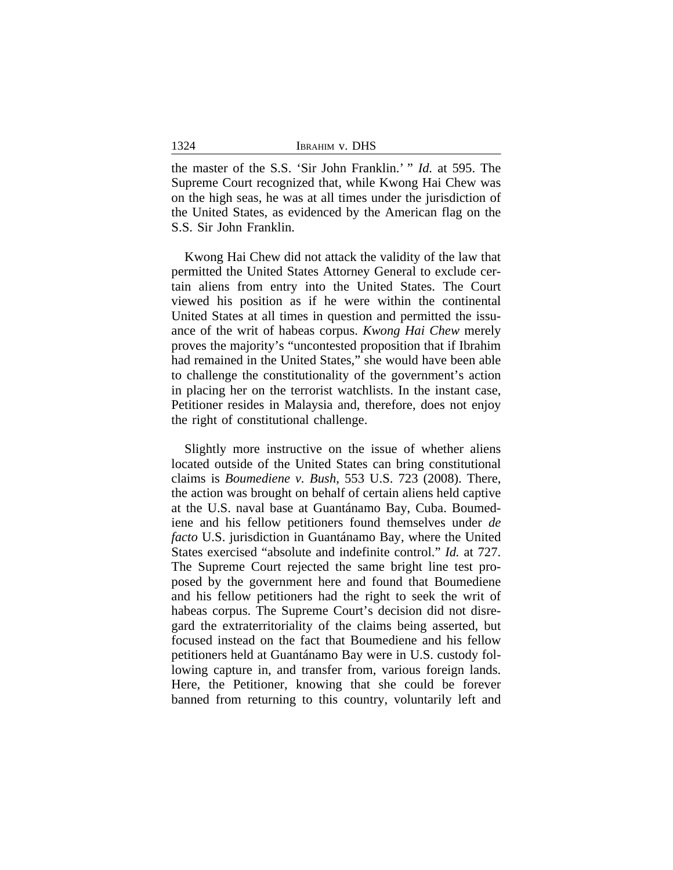| <b>IBRAHIM</b> |  | DHS |
|----------------|--|-----|
|----------------|--|-----|

the master of the S.S. 'Sir John Franklin.' " *Id.* at 595. The Supreme Court recognized that, while Kwong Hai Chew was on the high seas, he was at all times under the jurisdiction of the United States, as evidenced by the American flag on the S.S. Sir John Franklin.

Kwong Hai Chew did not attack the validity of the law that permitted the United States Attorney General to exclude certain aliens from entry into the United States. The Court viewed his position as if he were within the continental United States at all times in question and permitted the issuance of the writ of habeas corpus. *Kwong Hai Chew* merely proves the majority's "uncontested proposition that if Ibrahim had remained in the United States," she would have been able to challenge the constitutionality of the government's action in placing her on the terrorist watchlists. In the instant case, Petitioner resides in Malaysia and, therefore, does not enjoy the right of constitutional challenge.

Slightly more instructive on the issue of whether aliens located outside of the United States can bring constitutional claims is *Boumediene v. Bush*, 553 U.S. 723 (2008). There, the action was brought on behalf of certain aliens held captive at the U.S. naval base at Guantánamo Bay, Cuba. Boumediene and his fellow petitioners found themselves under *de facto* U.S. jurisdiction in Guantánamo Bay, where the United States exercised "absolute and indefinite control." *Id.* at 727. The Supreme Court rejected the same bright line test proposed by the government here and found that Boumediene and his fellow petitioners had the right to seek the writ of habeas corpus. The Supreme Court's decision did not disregard the extraterritoriality of the claims being asserted, but focused instead on the fact that Boumediene and his fellow petitioners held at Guantánamo Bay were in U.S. custody following capture in, and transfer from, various foreign lands. Here, the Petitioner, knowing that she could be forever banned from returning to this country, voluntarily left and

1324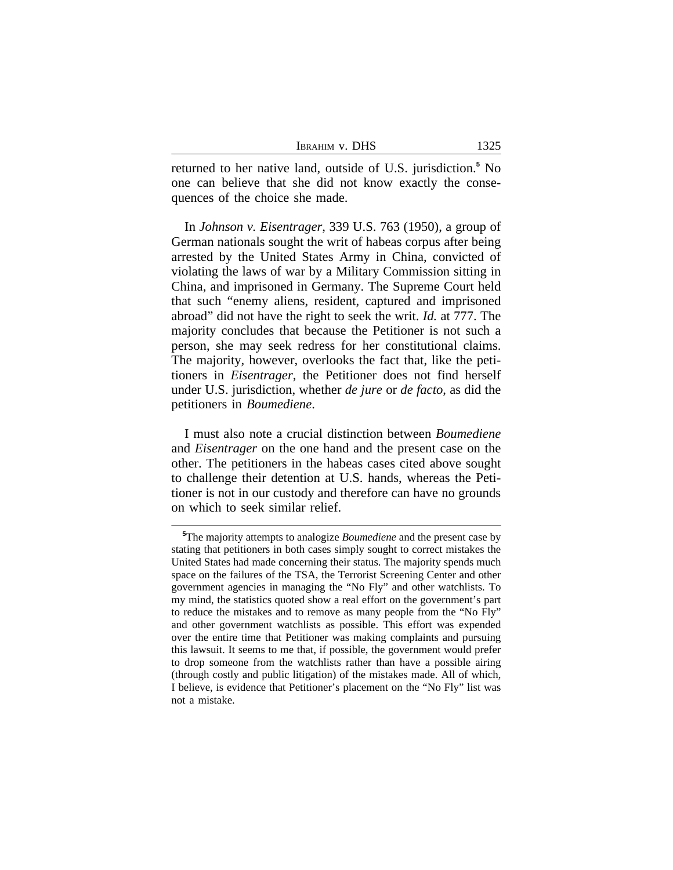| 1325<br>Ibrahim v. DHS |
|------------------------|
|                        |

returned to her native land, outside of U.S. jurisdiction.**<sup>5</sup>** No one can believe that she did not know exactly the consequences of the choice she made.

In *Johnson v. Eisentrager*, 339 U.S. 763 (1950), a group of German nationals sought the writ of habeas corpus after being arrested by the United States Army in China, convicted of violating the laws of war by a Military Commission sitting in China, and imprisoned in Germany. The Supreme Court held that such "enemy aliens, resident, captured and imprisoned abroad" did not have the right to seek the writ. *Id.* at 777. The majority concludes that because the Petitioner is not such a person, she may seek redress for her constitutional claims. The majority, however, overlooks the fact that, like the petitioners in *Eisentrager*, the Petitioner does not find herself under U.S. jurisdiction, whether *de jure* or *de facto*, as did the petitioners in *Boumediene*.

I must also note a crucial distinction between *Boumediene* and *Eisentrager* on the one hand and the present case on the other. The petitioners in the habeas cases cited above sought to challenge their detention at U.S. hands, whereas the Petitioner is not in our custody and therefore can have no grounds on which to seek similar relief.

**<sup>5</sup>**The majority attempts to analogize *Boumediene* and the present case by stating that petitioners in both cases simply sought to correct mistakes the United States had made concerning their status. The majority spends much space on the failures of the TSA, the Terrorist Screening Center and other government agencies in managing the "No Fly" and other watchlists. To my mind, the statistics quoted show a real effort on the government's part to reduce the mistakes and to remove as many people from the "No Fly" and other government watchlists as possible. This effort was expended over the entire time that Petitioner was making complaints and pursuing this lawsuit. It seems to me that, if possible, the government would prefer to drop someone from the watchlists rather than have a possible airing (through costly and public litigation) of the mistakes made. All of which, I believe, is evidence that Petitioner's placement on the "No Fly" list was not a mistake.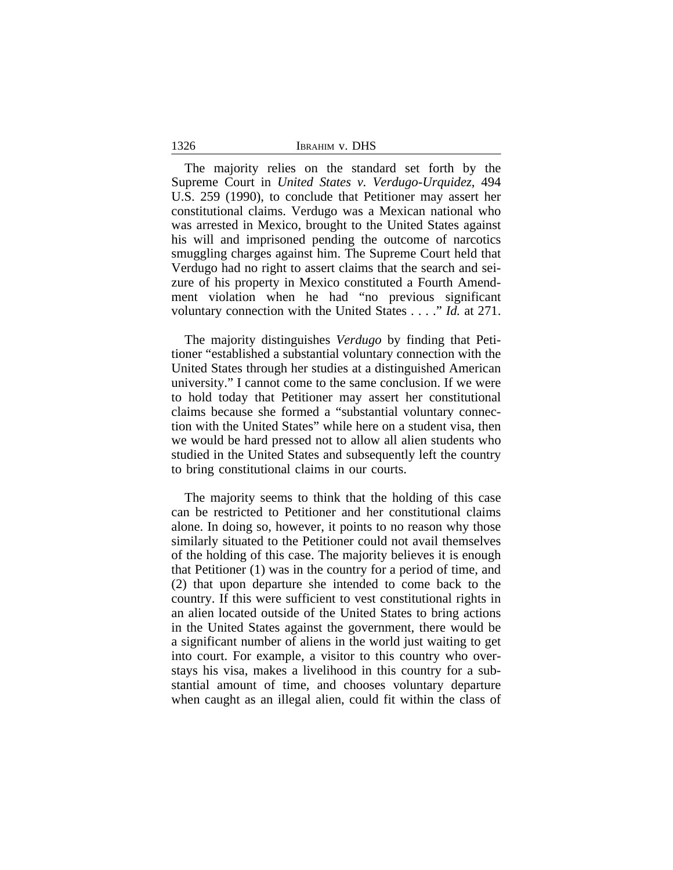| <b>IBRAHIM V. DHS</b> |  |  |
|-----------------------|--|--|
|-----------------------|--|--|

The majority relies on the standard set forth by the Supreme Court in *United States v. Verdugo-Urquidez*, 494 U.S. 259 (1990), to conclude that Petitioner may assert her constitutional claims. Verdugo was a Mexican national who was arrested in Mexico, brought to the United States against his will and imprisoned pending the outcome of narcotics smuggling charges against him. The Supreme Court held that Verdugo had no right to assert claims that the search and seizure of his property in Mexico constituted a Fourth Amendment violation when he had "no previous significant voluntary connection with the United States . . . ." *Id.* at 271.

The majority distinguishes *Verdugo* by finding that Petitioner "established a substantial voluntary connection with the United States through her studies at a distinguished American university." I cannot come to the same conclusion. If we were to hold today that Petitioner may assert her constitutional claims because she formed a "substantial voluntary connection with the United States" while here on a student visa, then we would be hard pressed not to allow all alien students who studied in the United States and subsequently left the country to bring constitutional claims in our courts.

The majority seems to think that the holding of this case can be restricted to Petitioner and her constitutional claims alone. In doing so, however, it points to no reason why those similarly situated to the Petitioner could not avail themselves of the holding of this case. The majority believes it is enough that Petitioner (1) was in the country for a period of time, and (2) that upon departure she intended to come back to the country. If this were sufficient to vest constitutional rights in an alien located outside of the United States to bring actions in the United States against the government, there would be a significant number of aliens in the world just waiting to get into court. For example, a visitor to this country who overstays his visa, makes a livelihood in this country for a substantial amount of time, and chooses voluntary departure when caught as an illegal alien, could fit within the class of

1326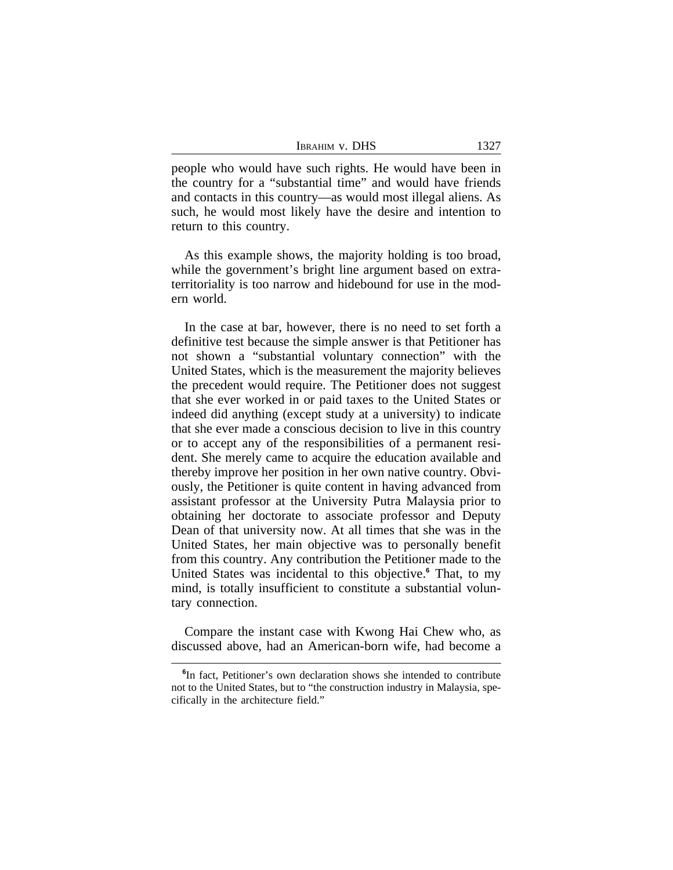| 1327<br>IBRAHIM V. DHS |
|------------------------|
|                        |

people who would have such rights. He would have been in the country for a "substantial time" and would have friends and contacts in this country—as would most illegal aliens. As such, he would most likely have the desire and intention to return to this country.

As this example shows, the majority holding is too broad, while the government's bright line argument based on extraterritoriality is too narrow and hidebound for use in the modern world.

In the case at bar, however, there is no need to set forth a definitive test because the simple answer is that Petitioner has not shown a "substantial voluntary connection" with the United States, which is the measurement the majority believes the precedent would require. The Petitioner does not suggest that she ever worked in or paid taxes to the United States or indeed did anything (except study at a university) to indicate that she ever made a conscious decision to live in this country or to accept any of the responsibilities of a permanent resident. She merely came to acquire the education available and thereby improve her position in her own native country. Obviously, the Petitioner is quite content in having advanced from assistant professor at the University Putra Malaysia prior to obtaining her doctorate to associate professor and Deputy Dean of that university now. At all times that she was in the United States, her main objective was to personally benefit from this country. Any contribution the Petitioner made to the United States was incidental to this objective.**<sup>6</sup>** That, to my mind, is totally insufficient to constitute a substantial voluntary connection.

Compare the instant case with Kwong Hai Chew who, as discussed above, had an American-born wife, had become a

**<sup>6</sup>** In fact, Petitioner's own declaration shows she intended to contribute not to the United States, but to "the construction industry in Malaysia, specifically in the architecture field."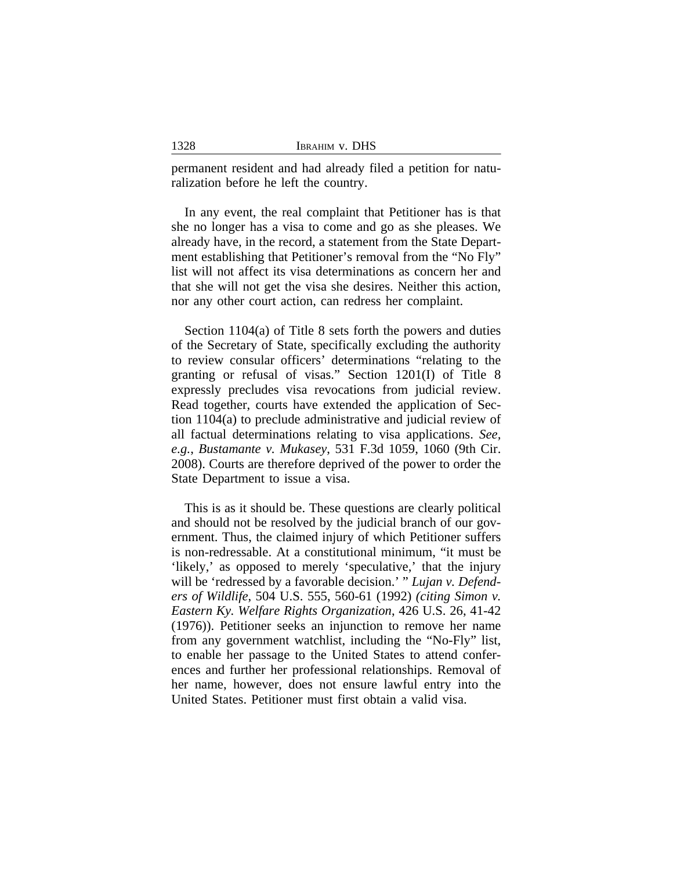permanent resident and had already filed a petition for naturalization before he left the country.

In any event, the real complaint that Petitioner has is that she no longer has a visa to come and go as she pleases. We already have, in the record, a statement from the State Department establishing that Petitioner's removal from the "No Fly" list will not affect its visa determinations as concern her and that she will not get the visa she desires. Neither this action, nor any other court action, can redress her complaint.

Section 1104(a) of Title 8 sets forth the powers and duties of the Secretary of State, specifically excluding the authority to review consular officers' determinations "relating to the granting or refusal of visas." Section 1201(I) of Title 8 expressly precludes visa revocations from judicial review. Read together, courts have extended the application of Section 1104(a) to preclude administrative and judicial review of all factual determinations relating to visa applications. *See, e.g.*, *Bustamante v. Mukasey*, 531 F.3d 1059, 1060 (9th Cir. 2008). Courts are therefore deprived of the power to order the State Department to issue a visa.

This is as it should be. These questions are clearly political and should not be resolved by the judicial branch of our government. Thus, the claimed injury of which Petitioner suffers is non-redressable. At a constitutional minimum, "it must be 'likely,' as opposed to merely 'speculative,' that the injury will be 'redressed by a favorable decision.' " *Lujan v. Defenders of Wildlife*, 504 U.S. 555, 560-61 (1992) *(citing Simon v. Eastern Ky. Welfare Rights Organization*, 426 U.S. 26, 41-42 (1976)). Petitioner seeks an injunction to remove her name from any government watchlist, including the "No-Fly" list, to enable her passage to the United States to attend conferences and further her professional relationships. Removal of her name, however, does not ensure lawful entry into the United States. Petitioner must first obtain a valid visa.